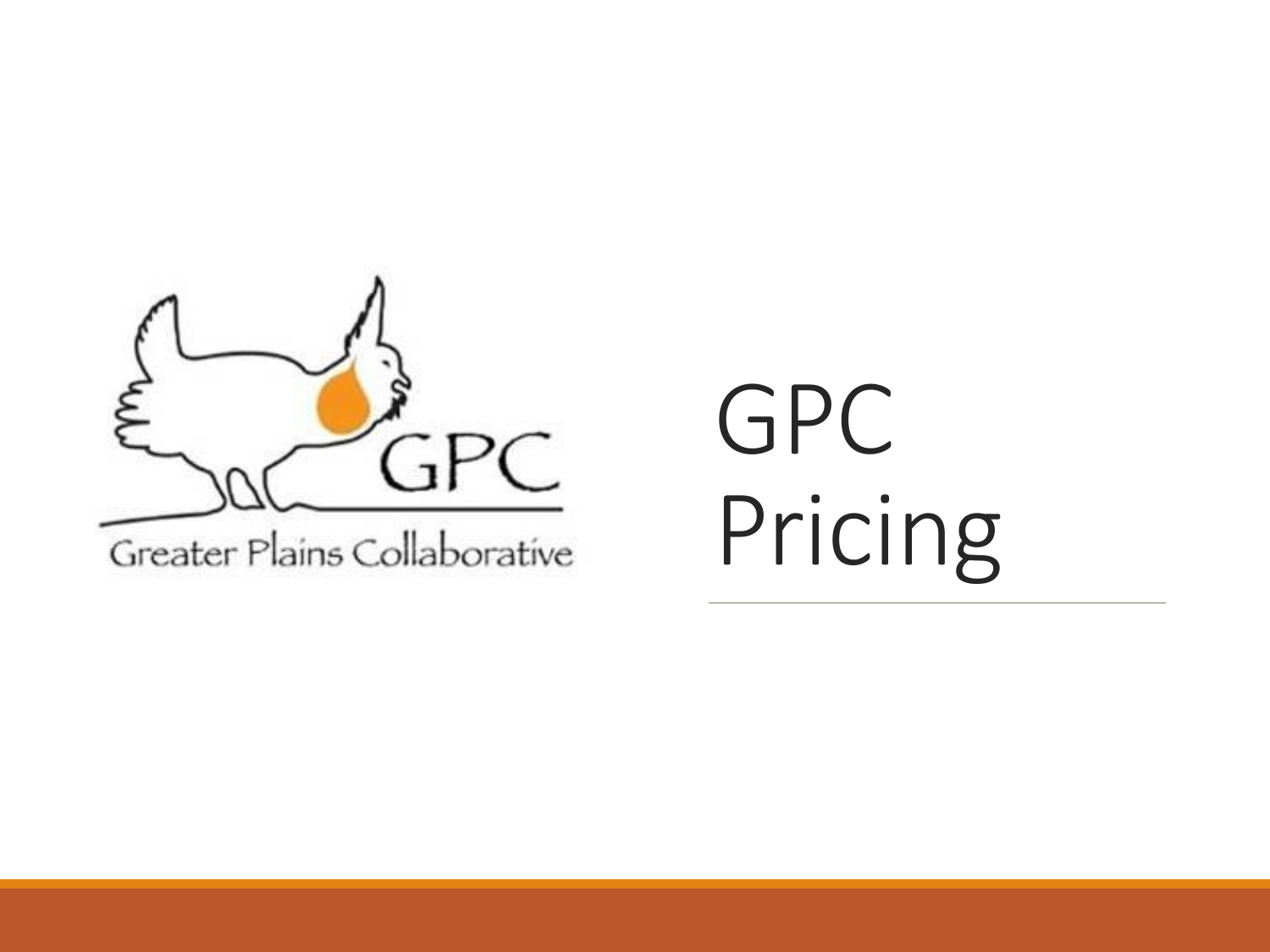

GPC Pricing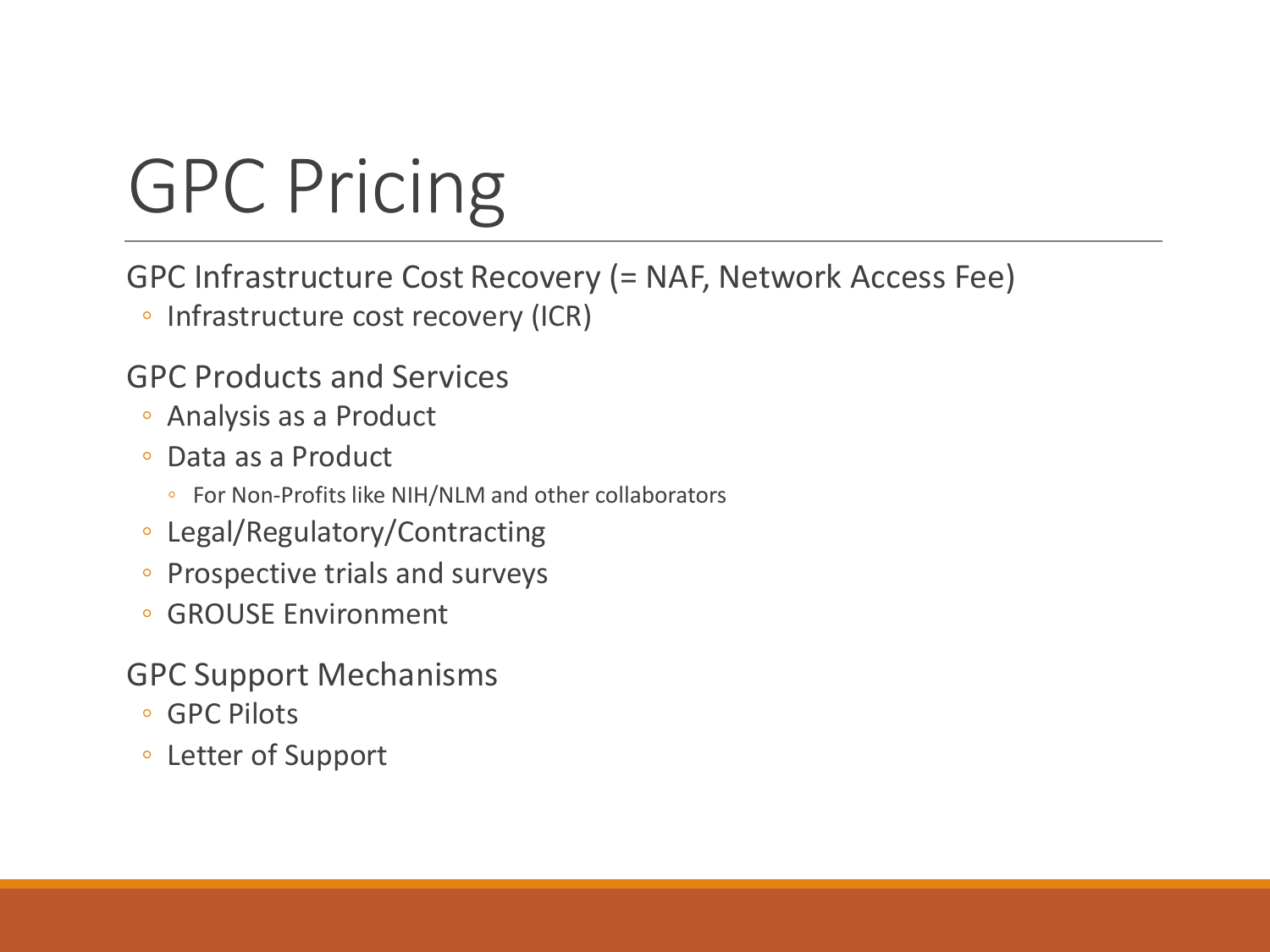# GPC Pricing

GPC Infrastructure Cost Recovery (= NAF, Network Access Fee)

◦ Infrastructure cost recovery (ICR)

#### GPC Products and Services

- Analysis as a Product
- Data as a Product
	- For Non-Profits like NIH/NLM and other collaborators
- Legal/Regulatory/Contracting
- Prospective trials and surveys
- GROUSE Environment
- GPC Support Mechanisms
	- GPC Pilots
	- Letter of Support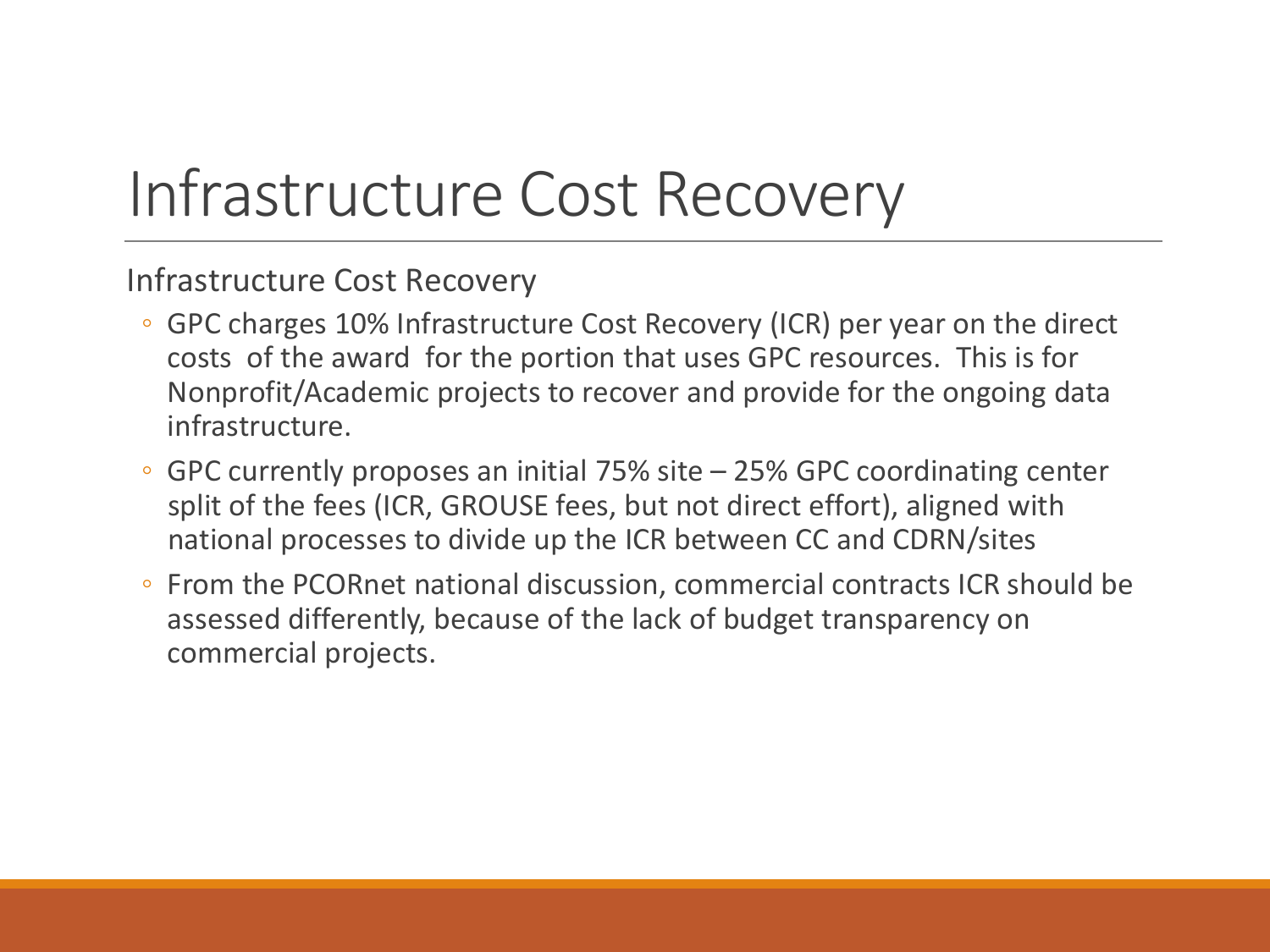### Infrastructure Cost Recovery

Infrastructure Cost Recovery

- GPC charges 10% Infrastructure Cost Recovery (ICR) per year on the direct costs of the award for the portion that uses GPC resources. This is for Nonprofit/Academic projects to recover and provide for the ongoing data infrastructure.
- GPC currently proposes an initial 75% site 25% GPC coordinating center split of the fees (ICR, GROUSE fees, but not direct effort), aligned with national processes to divide up the ICR between CC and CDRN/sites
- From the PCORnet national discussion, commercial contracts ICR should be assessed differently, because of the lack of budget transparency on commercial projects.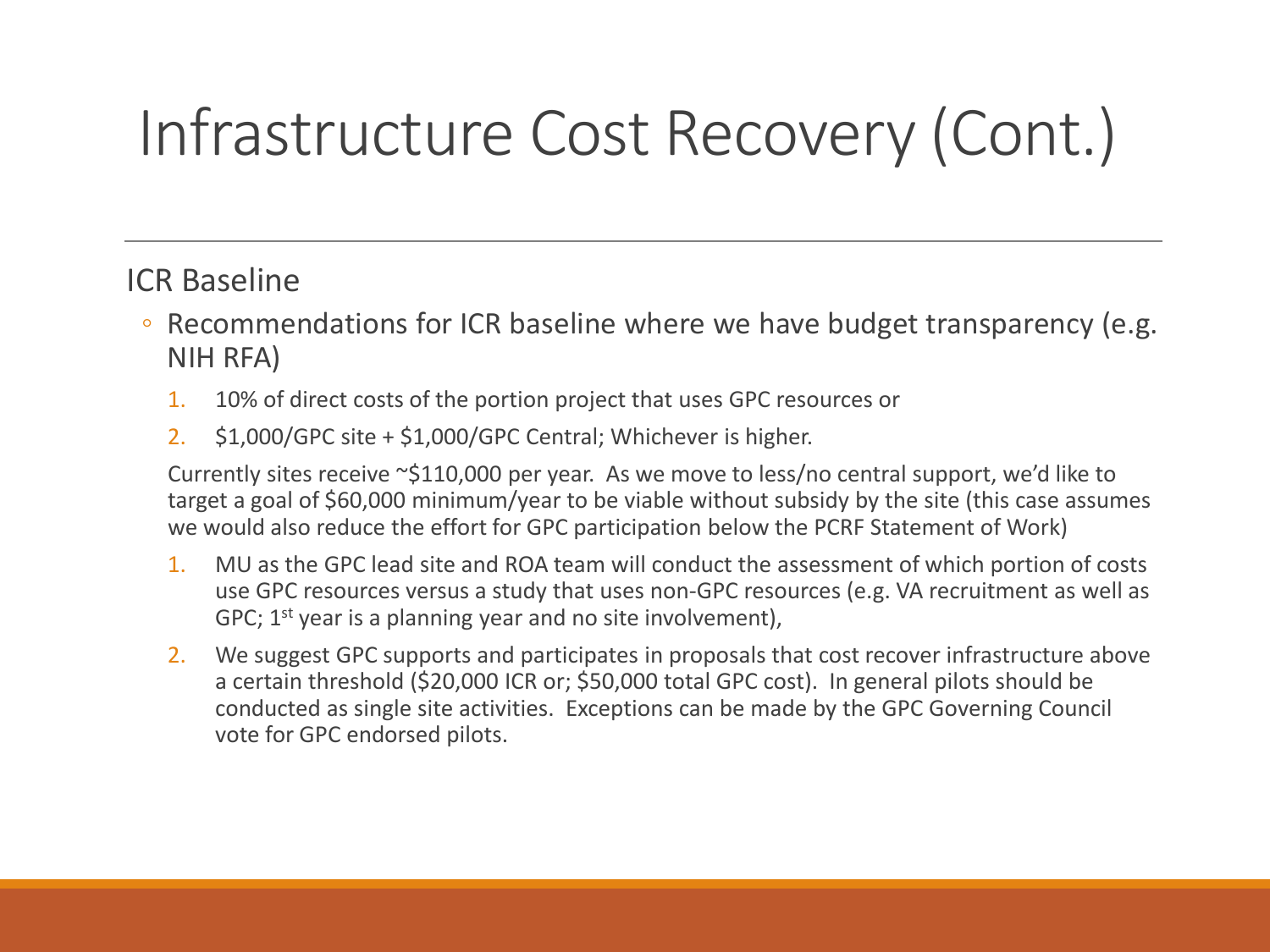### Infrastructure Cost Recovery (Cont.)

#### ICR Baseline

- Recommendations for ICR baseline where we have budget transparency (e.g. NIH RFA)
	- 1. 10% of direct costs of the portion project that uses GPC resources or
	- 2. \$1,000/GPC site + \$1,000/GPC Central; Whichever is higher.

Currently sites receive ~\$110,000 per year. As we move to less/no central support, we'd like to target a goal of \$60,000 minimum/year to be viable without subsidy by the site (this case assumes we would also reduce the effort for GPC participation below the PCRF Statement of Work)

- 1. MU as the GPC lead site and ROA team will conduct the assessment of which portion of costs use GPC resources versus a study that uses non-GPC resources (e.g. VA recruitment as well as GPC; 1<sup>st</sup> year is a planning year and no site involvement),
- 2. We suggest GPC supports and participates in proposals that cost recover infrastructure above a certain threshold (\$20,000 ICR or; \$50,000 total GPC cost). In general pilots should be conducted as single site activities. Exceptions can be made by the GPC Governing Council vote for GPC endorsed pilots.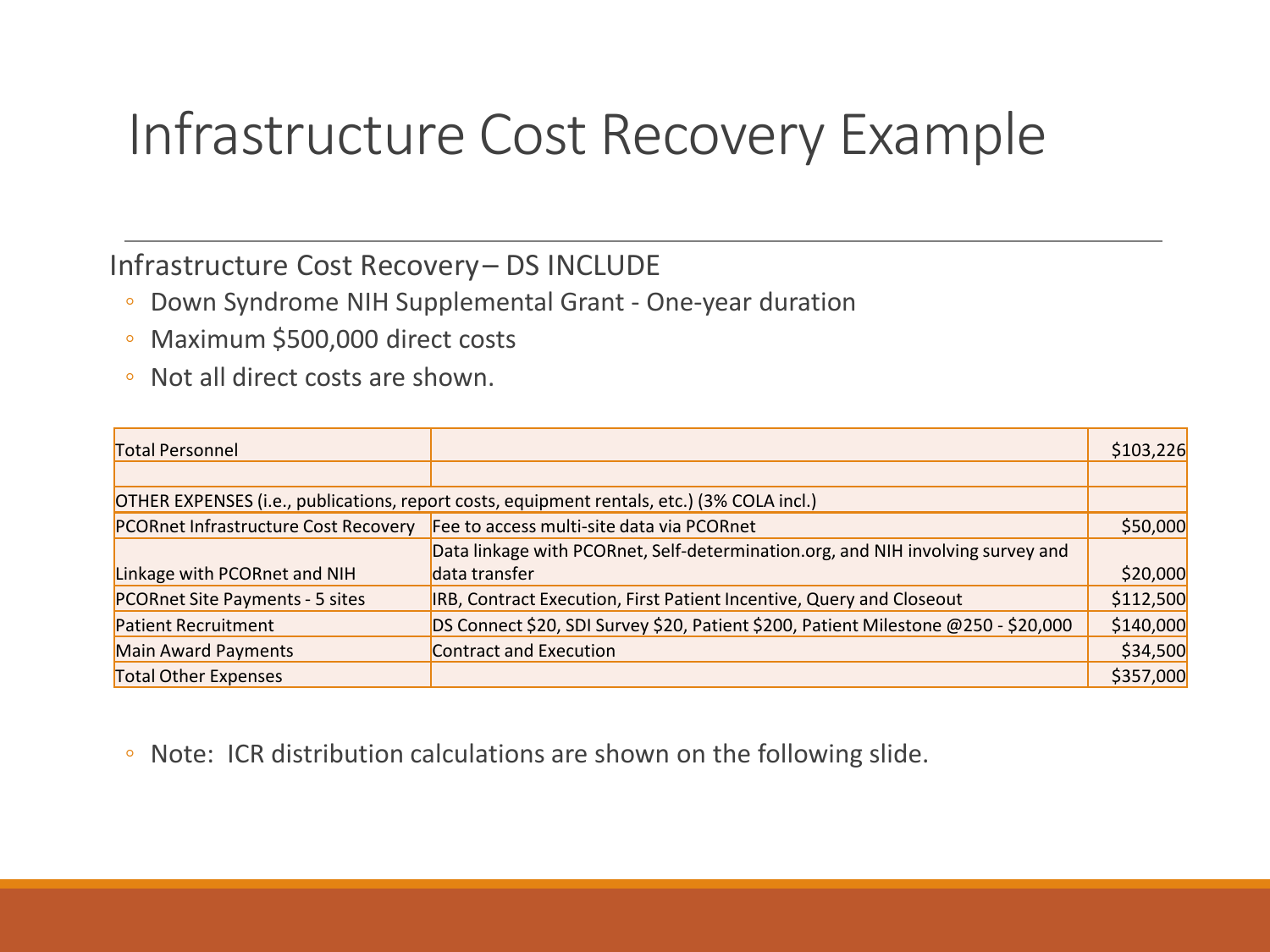### Infrastructure Cost Recovery Example

#### Infrastructure Cost Recovery – DS INCLUDE

- Down Syndrome NIH Supplemental Grant One-year duration
- Maximum \$500,000 direct costs
- Not all direct costs are shown.

| Total Personnel                      |                                                                                            | \$103,226 |
|--------------------------------------|--------------------------------------------------------------------------------------------|-----------|
|                                      |                                                                                            |           |
|                                      | OTHER EXPENSES (i.e., publications, report costs, equipment rentals, etc.) (3% COLA incl.) |           |
| PCORnet Infrastructure Cost Recovery | Fee to access multi-site data via PCORnet                                                  | \$50,000  |
|                                      | Data linkage with PCORnet, Self-determination.org, and NIH involving survey and            |           |
| Linkage with PCORnet and NIH         | data transfer                                                                              | \$20,000  |
| PCORnet Site Payments - 5 sites      | IRB, Contract Execution, First Patient Incentive, Query and Closeout                       | \$112,500 |
| <b>Patient Recruitment</b>           | DS Connect \$20, SDI Survey \$20, Patient \$200, Patient Milestone @250 - \$20,000         | \$140,000 |
| Main Award Payments                  | Contract and Execution                                                                     | \$34,500  |
| <b>Total Other Expenses</b>          |                                                                                            | \$357,000 |

◦ Note: ICR distribution calculations are shown on the following slide.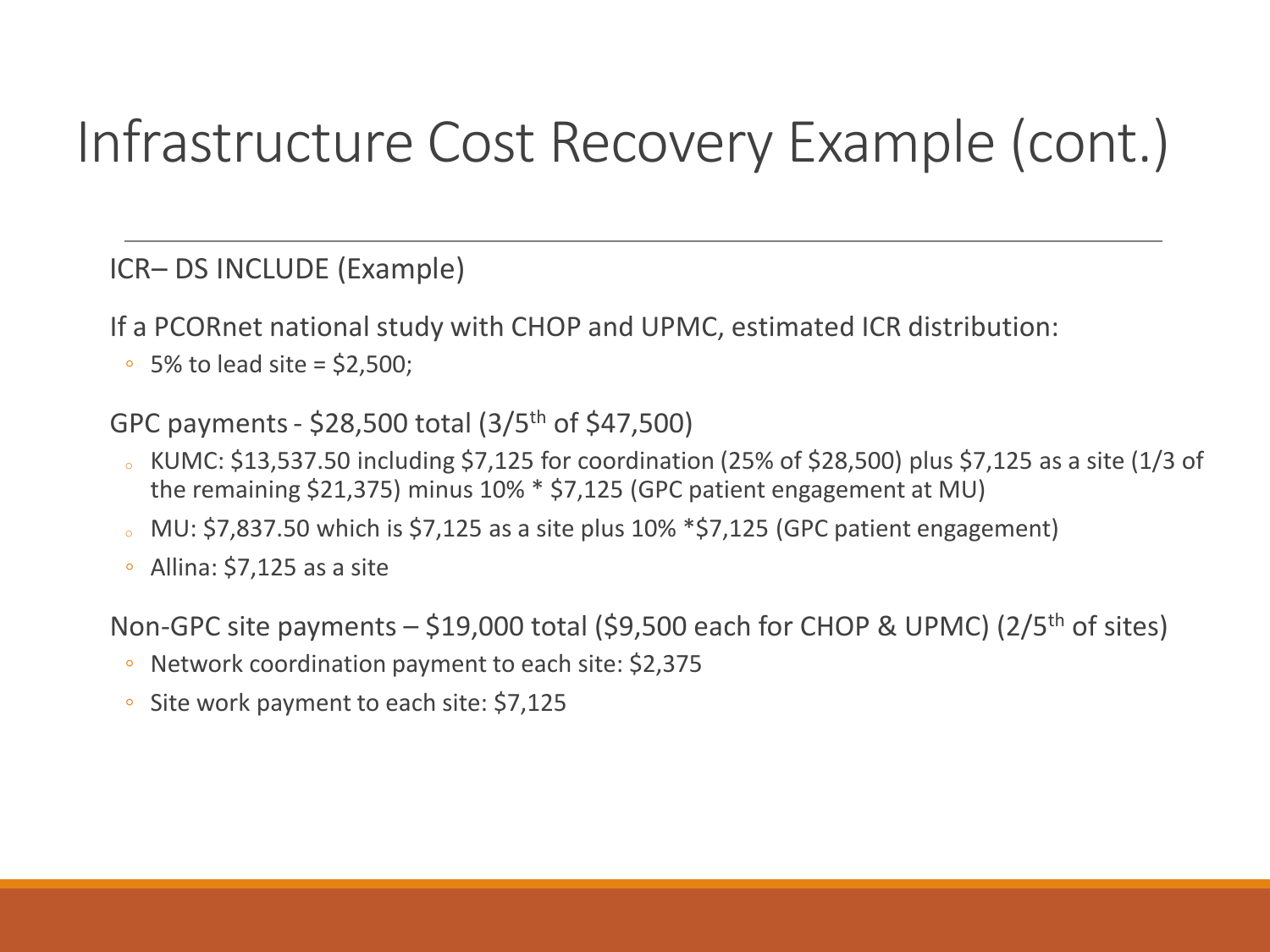### Infrastructure Cost Recovery Example (cont.)

ICR– DS INCLUDE (Example)

If a PCORnet national study with CHOP and UPMC, estimated ICR distribution:

 $\degree$  5% to lead site = \$2,500;

GPC payments - \$28,500 total (3/5th of \$47,500)

- $\delta$  KUMC: \$13,537.50 including \$7,125 for coordination (25% of \$28,500) plus \$7,125 as a site (1/3 of the remaining \$21,375) minus 10% \* \$7,125 (GPC patient engagement at MU)
- MU: \$7,837.50 which is \$7,125 as a site plus 10% \*\$7,125 (GPC patient engagement)
- Allina: \$7,125 as a site

Non-GPC site payments  $-$  \$19,000 total (\$9,500 each for CHOP & UPMC) (2/5<sup>th</sup> of sites)

- Network coordination payment to each site: \$2,375
- Site work payment to each site: \$7,125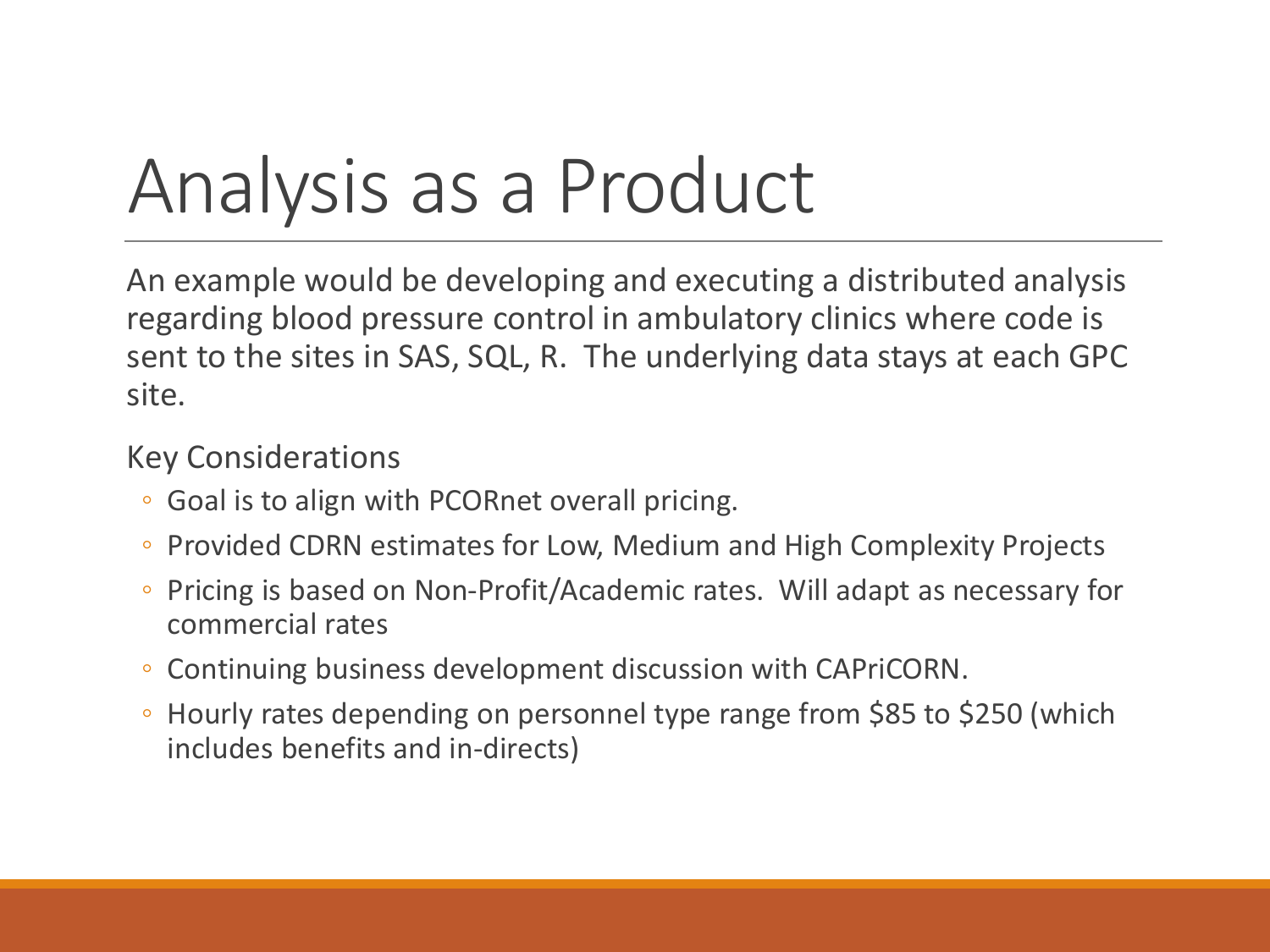# Analysis as a Product

An example would be developing and executing a distributed analysis regarding blood pressure control in ambulatory clinics where code is sent to the sites in SAS, SQL, R. The underlying data stays at each GPC site.

- Goal is to align with PCORnet overall pricing.
- Provided CDRN estimates for Low, Medium and High Complexity Projects
- Pricing is based on Non-Profit/Academic rates. Will adapt as necessary for commercial rates
- Continuing business development discussion with CAPriCORN.
- Hourly rates depending on personnel type range from \$85 to \$250 (which includes benefits and in-directs)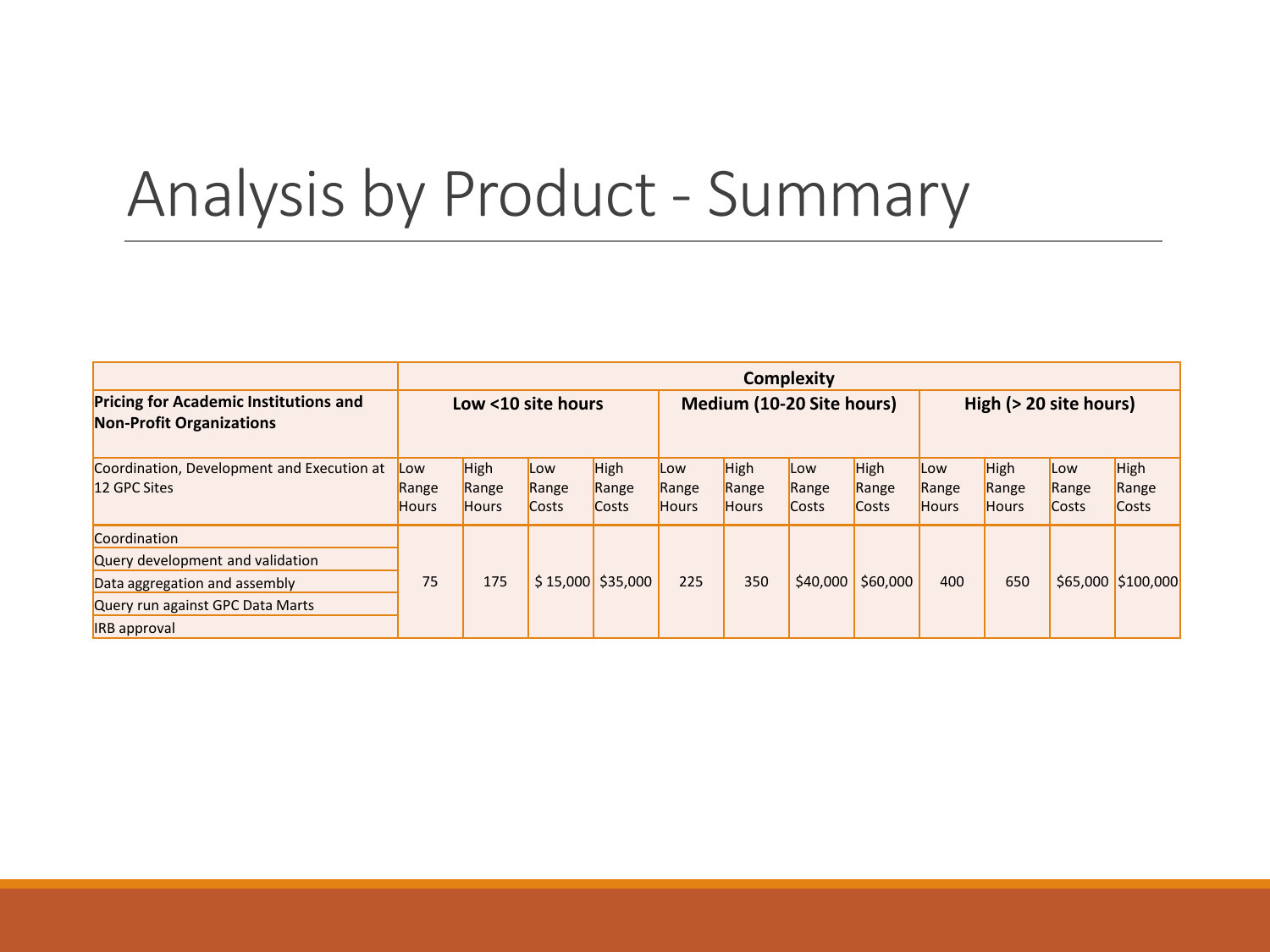### Analysis by Product - Summary

|                                                                                                                                              | <b>Complexity</b>            |                                      |                       |                               |                              |                               |                       |                                      |                              |                                      |                       |                        |
|----------------------------------------------------------------------------------------------------------------------------------------------|------------------------------|--------------------------------------|-----------------------|-------------------------------|------------------------------|-------------------------------|-----------------------|--------------------------------------|------------------------------|--------------------------------------|-----------------------|------------------------|
| <b>Pricing for Academic Institutions and</b><br><b>Non-Profit Organizations</b>                                                              | Low <10 site hours           |                                      |                       |                               | Medium (10-20 Site hours)    |                               |                       |                                      | High (> 20 site hours)       |                                      |                       |                        |
| Coordination, Development and Execution at<br>12 GPC Sites                                                                                   | Low<br>Range<br><b>Hours</b> | <b>High</b><br>Range<br><b>Hours</b> | Low<br>Range<br>Costs | <b>High</b><br>Range<br>Costs | Low<br>Range<br><b>Hours</b> | High<br>Range<br><b>Hours</b> | Low<br>Range<br>Costs | <b>High</b><br>Range<br><b>Costs</b> | Low<br>Range<br><b>Hours</b> | <b>High</b><br>Range<br><b>Hours</b> | Low<br>Range<br>Costs | High<br>Range<br>Costs |
| Coordination<br>Query development and validation<br>Data aggregation and assembly<br>Query run against GPC Data Marts<br><b>IRB</b> approval | 75                           | 175                                  |                       | $$15,000$ \$35,000            | 225                          | 350                           | \$40,000              | \$60,000                             | 400                          | 650                                  |                       | \$65,000 \$100,000     |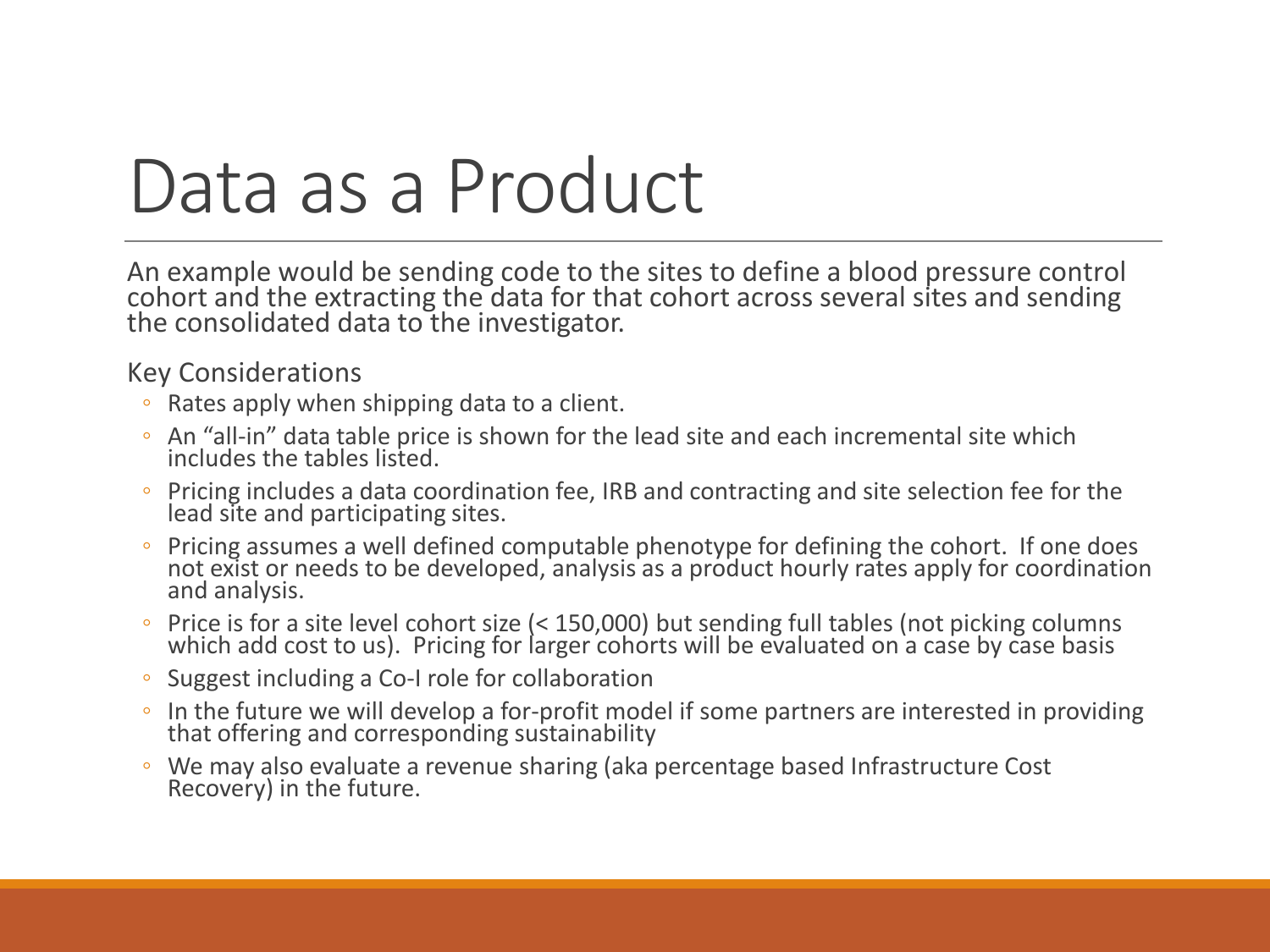## Data as a Product

An example would be sending code to the sites to define a blood pressure control cohort and the extracting the data for that cohort across several sites and sending the consolidated data to the investigator.

- Rates apply when shipping data to a client.
- An "all-in" data table price is shown for the lead site and each incremental site which includes the tables listed.
- Pricing includes a data coordination fee, IRB and contracting and site selection fee for the lead site and participating sites.
- Pricing assumes a well defined computable phenotype for defining the cohort. If one does not exist or needs to be developed, analysis as a product hourly rates apply for coordination and analysis.
- Price is for a site level cohort size (< 150,000) but sending full tables (not picking columns which add cost to us). Pricing for larger cohorts will be evaluated on a case by case basis
- Suggest including a Co-I role for collaboration
- In the future we will develop a for-profit model if some partners are interested in providing that offering and corresponding sustainability
- We may also evaluate a revenue sharing (aka percentage based Infrastructure Cost Recovery) in the future.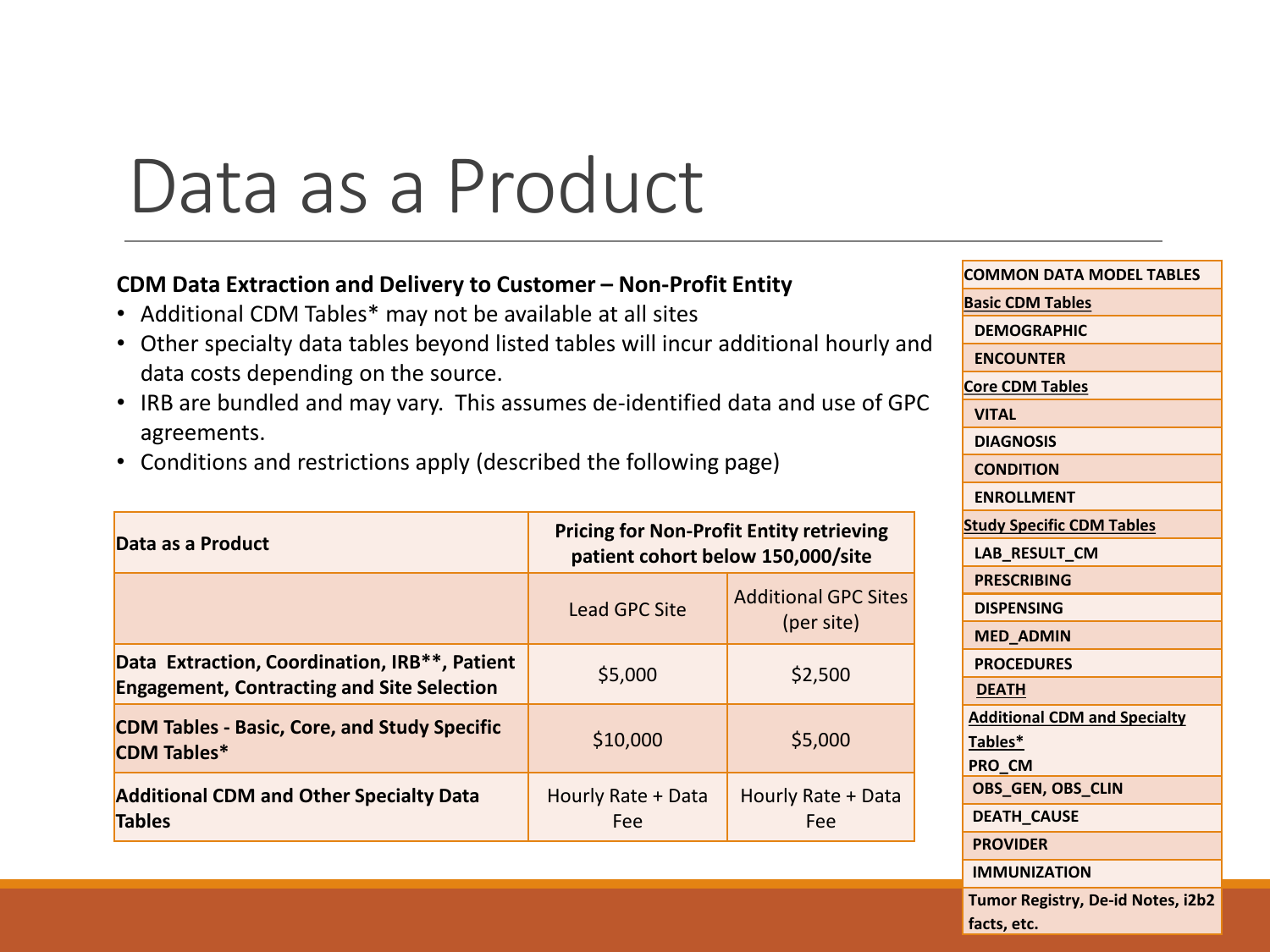## Data as a Product

#### **CDM Data Extraction and Delivery to Customer – Non-Profit Entity**

- Additional CDM Tables\* may not be available at all sites
- Other specialty data tables beyond listed tables will incur additional hourly and data costs depending on the source.
- IRB are bundled and may vary. This assumes de-identified data and use of GPC agreements.
- Conditions and restrictions apply (described the following page)

| Data as a Product                                                                                               | <b>Pricing for Non-Profit Entity retrieving</b><br>patient cohort below 150,000/site |                                           |  |  |  |  |
|-----------------------------------------------------------------------------------------------------------------|--------------------------------------------------------------------------------------|-------------------------------------------|--|--|--|--|
|                                                                                                                 | <b>Lead GPC Site</b>                                                                 | <b>Additional GPC Sites</b><br>(per site) |  |  |  |  |
| Data Extraction, Coordination, IRB <sup>**</sup> , Patient<br><b>Engagement, Contracting and Site Selection</b> | \$5,000                                                                              | \$2,500                                   |  |  |  |  |
| <b>CDM Tables - Basic, Core, and Study Specific</b><br><b>CDM Tables*</b>                                       | \$10,000                                                                             | \$5,000                                   |  |  |  |  |
| <b>Additional CDM and Other Specialty Data</b><br><b>Tables</b>                                                 | Hourly Rate + Data<br>Fee                                                            | Hourly Rate + Data<br>Fee                 |  |  |  |  |

**COMMON DATA MODEL TABLES Basic CDM Tables DEMOGRAPHIC ENCOUNTER Core CDM Tables VITAL DIAGNOSIS CONDITION ENROLLMENT Study Specific CDM Tables LAB\_RESULT\_CM PRESCRIBING DISPENSING MED\_ADMIN PROCEDURES DEATH Additional CDM and Specialty Tables\* PRO\_CM OBS\_GEN, OBS\_CLIN DEATH\_CAUSE PROVIDER IMMUNIZATION Tumor Registry, De-id Notes, i2b2 facts, etc.**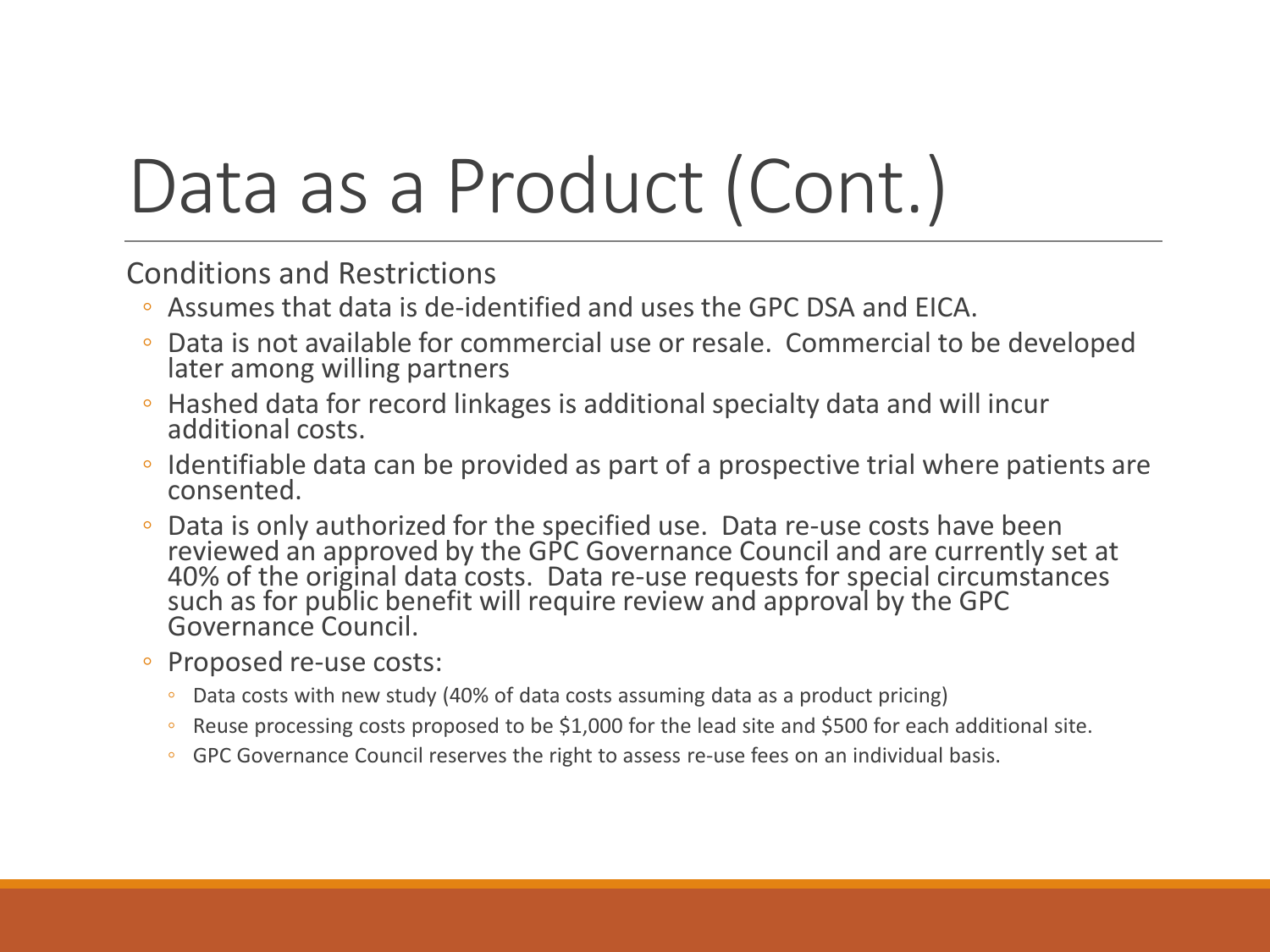# Data as a Product (Cont.)

Conditions and Restrictions

- Assumes that data is de-identified and uses the GPC DSA and EICA.
- Data is not available for commercial use or resale. Commercial to be developed later among willing partners
- Hashed data for record linkages is additional specialty data and will incur additional costs.
- Identifiable data can be provided as part of a prospective trial where patients are consented.
- Data is only authorized for the specified use. Data re-use costs have been reviewed an approved by the GPC Governance Council and are currently set at 40% of the original data costs. Data re-use requests for special circumstances<br>such as for public benefit will require review and approval by the GPC such as for public benefit will require review and approval by the GPC<br>Governance Council.
- Proposed re-use costs:
	- Data costs with new study (40% of data costs assuming data as a product pricing)
	- Reuse processing costs proposed to be \$1,000 for the lead site and \$500 for each additional site.
	- GPC Governance Council reserves the right to assess re-use fees on an individual basis.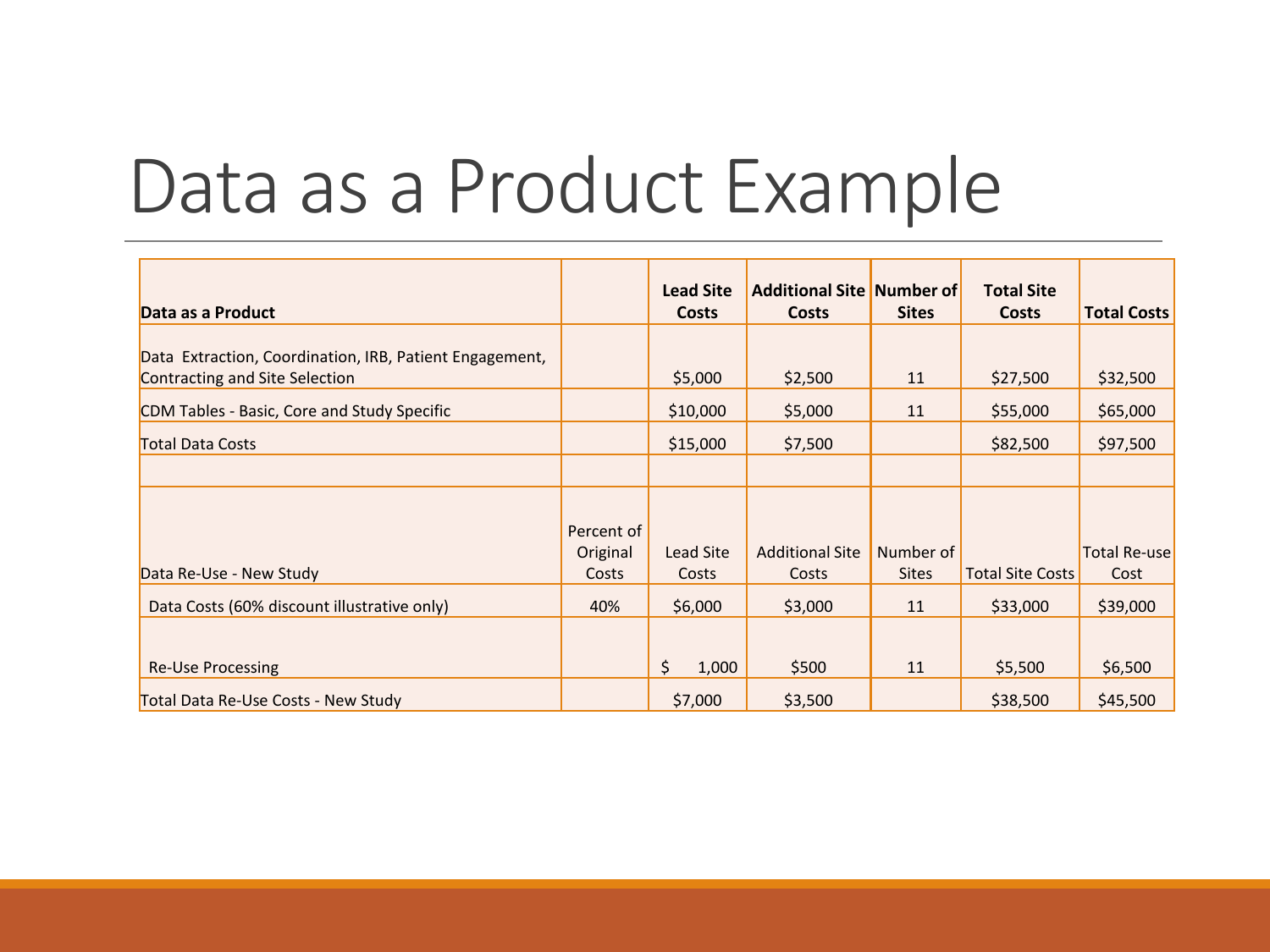## Data as a Product Example

|                                                         |            | <b>Lead Site</b> | <b>Additional Site Number of</b> |              | <b>Total Site</b>       |                     |
|---------------------------------------------------------|------------|------------------|----------------------------------|--------------|-------------------------|---------------------|
| Data as a Product                                       |            | <b>Costs</b>     | Costs                            | <b>Sites</b> | <b>Costs</b>            | <b>Total Costs</b>  |
|                                                         |            |                  |                                  |              |                         |                     |
| Data Extraction, Coordination, IRB, Patient Engagement, |            |                  |                                  |              |                         |                     |
| Contracting and Site Selection                          |            | \$5,000          | \$2,500                          | 11           | \$27,500                | \$32,500            |
| CDM Tables - Basic, Core and Study Specific             |            | \$10,000         | \$5,000                          | 11           | \$55,000                | \$65,000            |
| <b>Total Data Costs</b>                                 |            | \$15,000         | \$7,500                          |              | \$82,500                | \$97,500            |
|                                                         |            |                  |                                  |              |                         |                     |
|                                                         |            |                  |                                  |              |                         |                     |
|                                                         | Percent of |                  |                                  |              |                         |                     |
|                                                         | Original   | Lead Site        | <b>Additional Site</b>           | Number of    |                         | <b>Total Re-use</b> |
| Data Re-Use - New Study                                 | Costs      | Costs            | Costs                            | <b>Sites</b> | <b>Total Site Costs</b> | Cost                |
| Data Costs (60% discount illustrative only)             | 40%        | \$6,000          | \$3,000                          | 11           | \$33,000                | \$39,000            |
|                                                         |            |                  |                                  |              |                         |                     |
| <b>Re-Use Processing</b>                                |            | \$<br>1,000      | \$500                            | 11           | \$5,500                 | \$6,500             |
| Total Data Re-Use Costs - New Study                     |            | \$7,000          | \$3,500                          |              | \$38,500                | \$45,500            |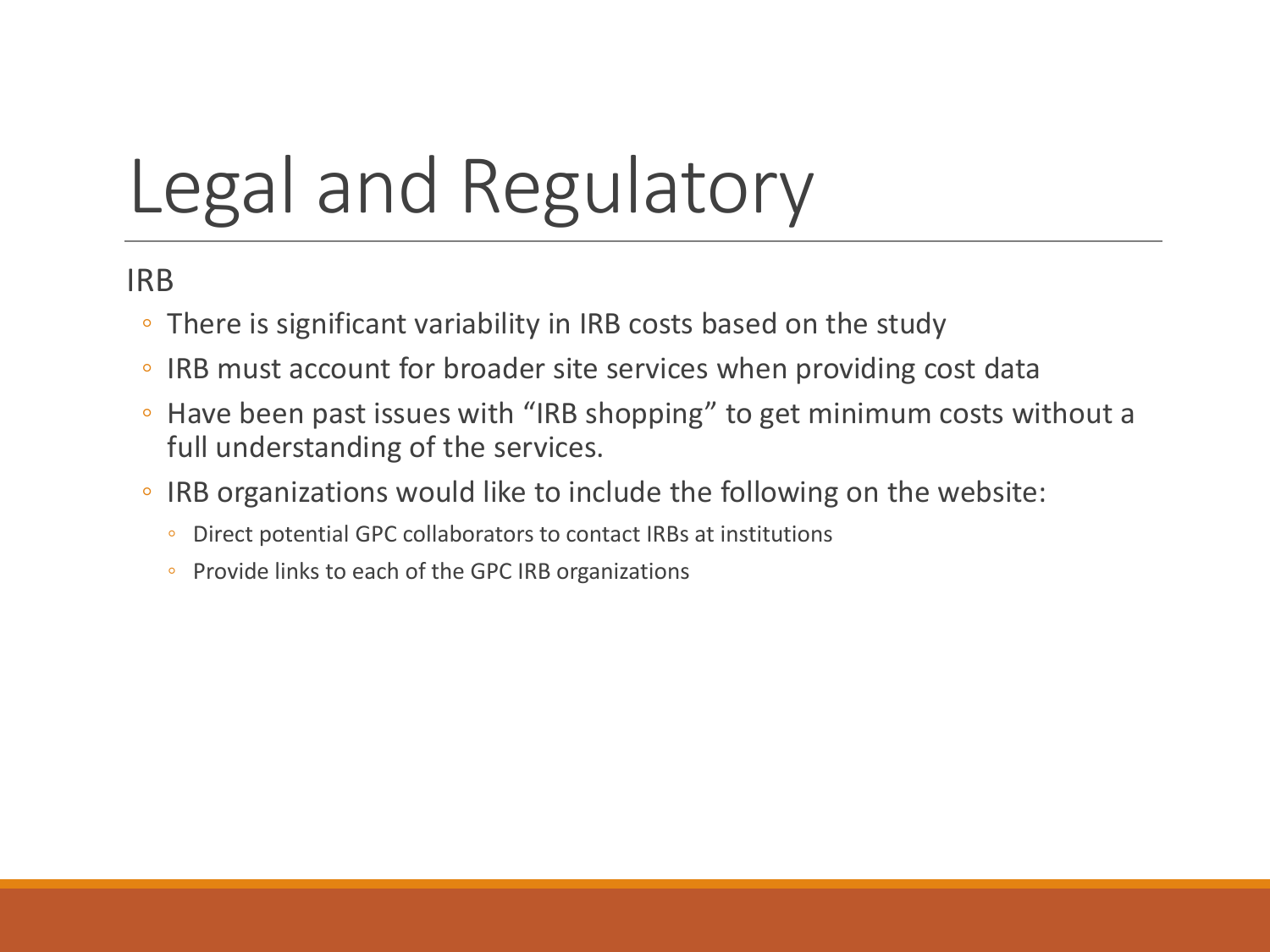# Legal and Regulatory

IRB

- There is significant variability in IRB costs based on the study
- IRB must account for broader site services when providing cost data
- Have been past issues with "IRB shopping" to get minimum costs without a full understanding of the services.
- IRB organizations would like to include the following on the website:
	- Direct potential GPC collaborators to contact IRBs at institutions
	- Provide links to each of the GPC IRB organizations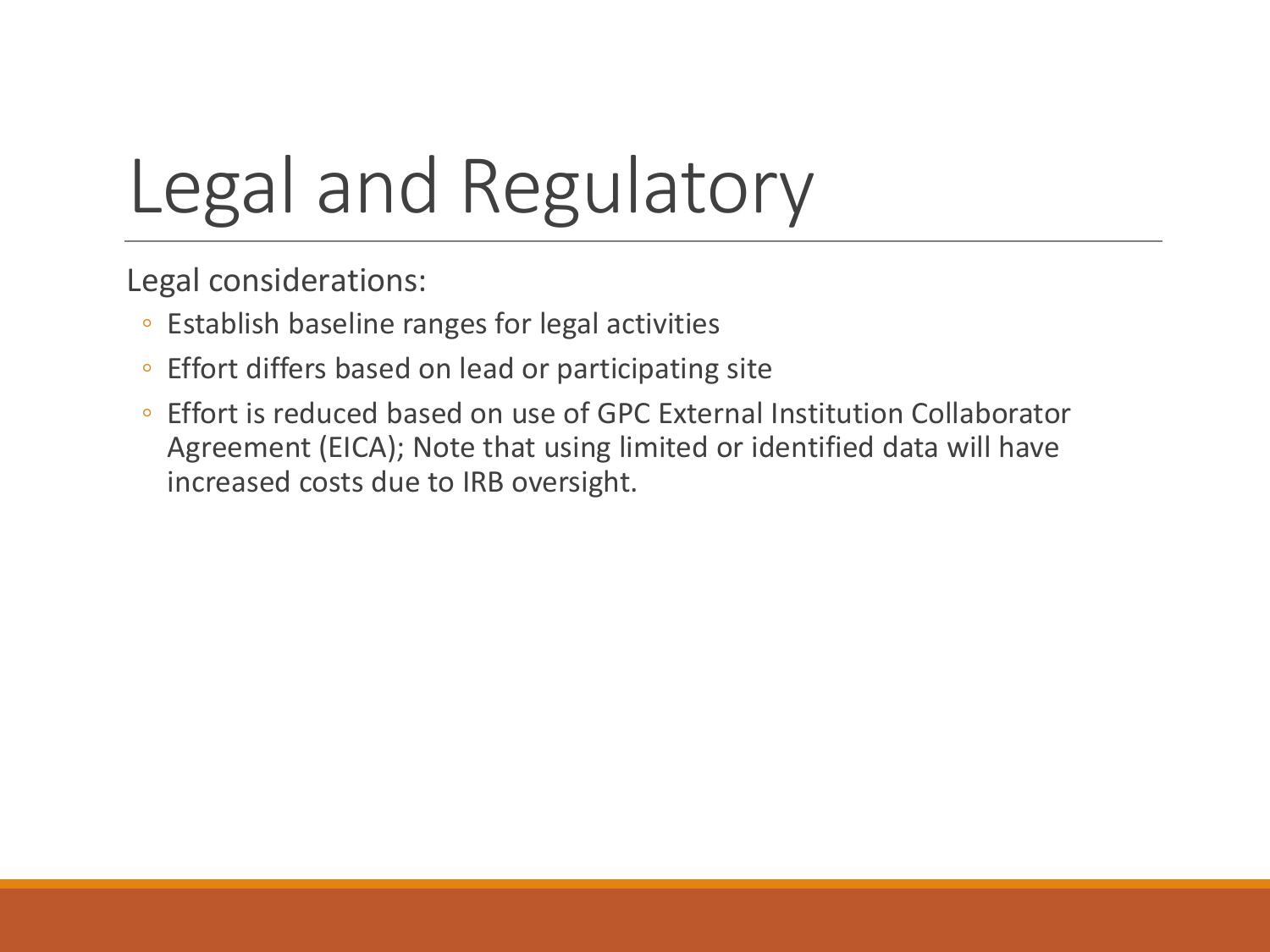# Legal and Regulatory

Legal considerations:

- Establish baseline ranges for legal activities
- Effort differs based on lead or participating site
- Effort is reduced based on use of GPC External Institution Collaborator Agreement (EICA); Note that using limited or identified data will have increased costs due to IRB oversight.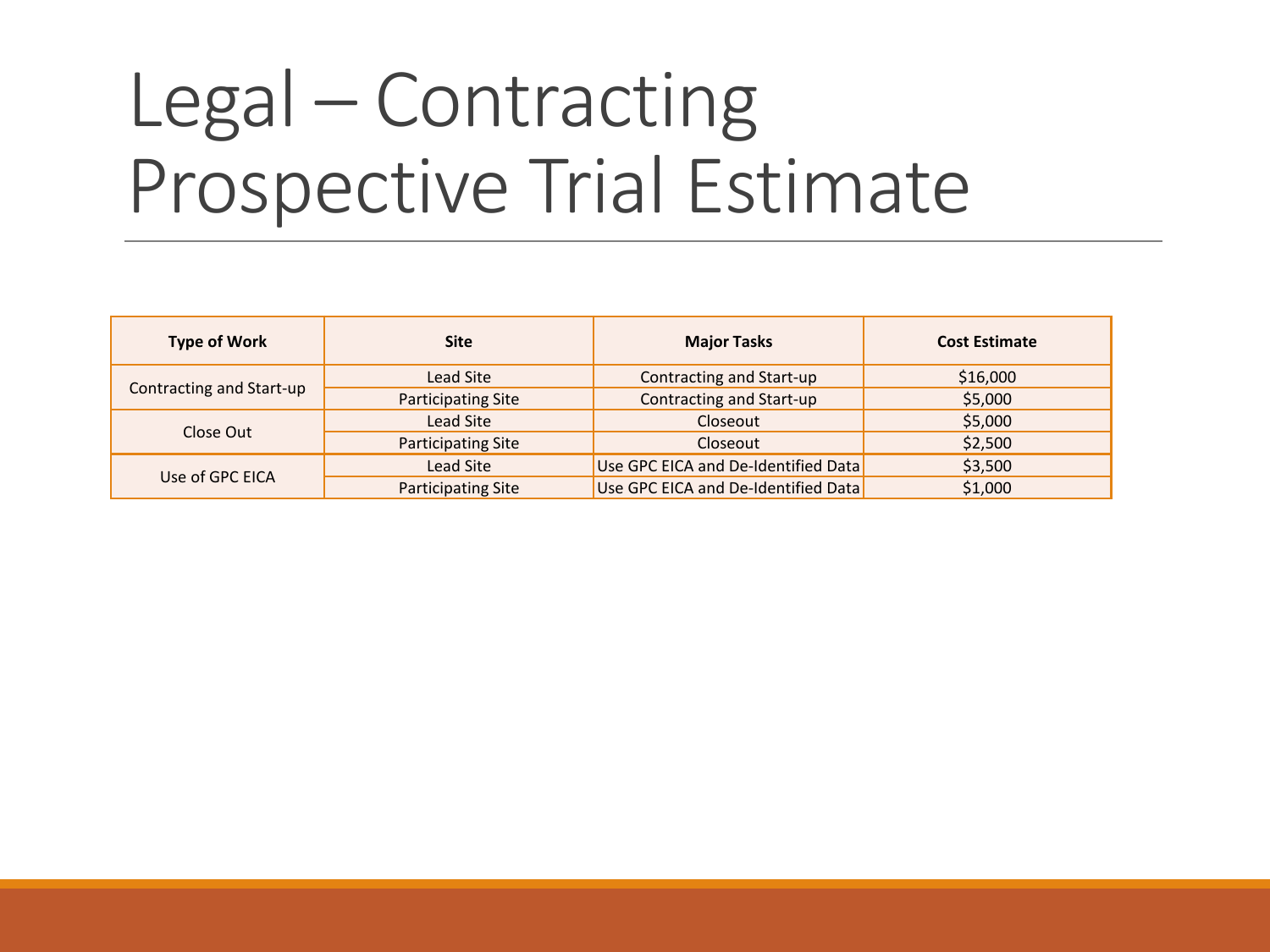## Legal – Contracting Prospective Trial Estimate

| <b>Type of Work</b>      | <b>Site</b>               | <b>Major Tasks</b>                  | <b>Cost Estimate</b> |
|--------------------------|---------------------------|-------------------------------------|----------------------|
|                          | Lead Site                 | Contracting and Start-up            | \$16,000             |
| Contracting and Start-up | <b>Participating Site</b> | Contracting and Start-up            | \$5,000              |
|                          | Lead Site                 | Closeout                            | \$5,000              |
| Close Out                | <b>Participating Site</b> | Closeout                            | \$2,500              |
| Use of GPC EICA          | Lead Site                 | Use GPC EICA and De-Identified Data | \$3,500              |
|                          | <b>Participating Site</b> | Use GPC EICA and De-Identified Data | \$1,000              |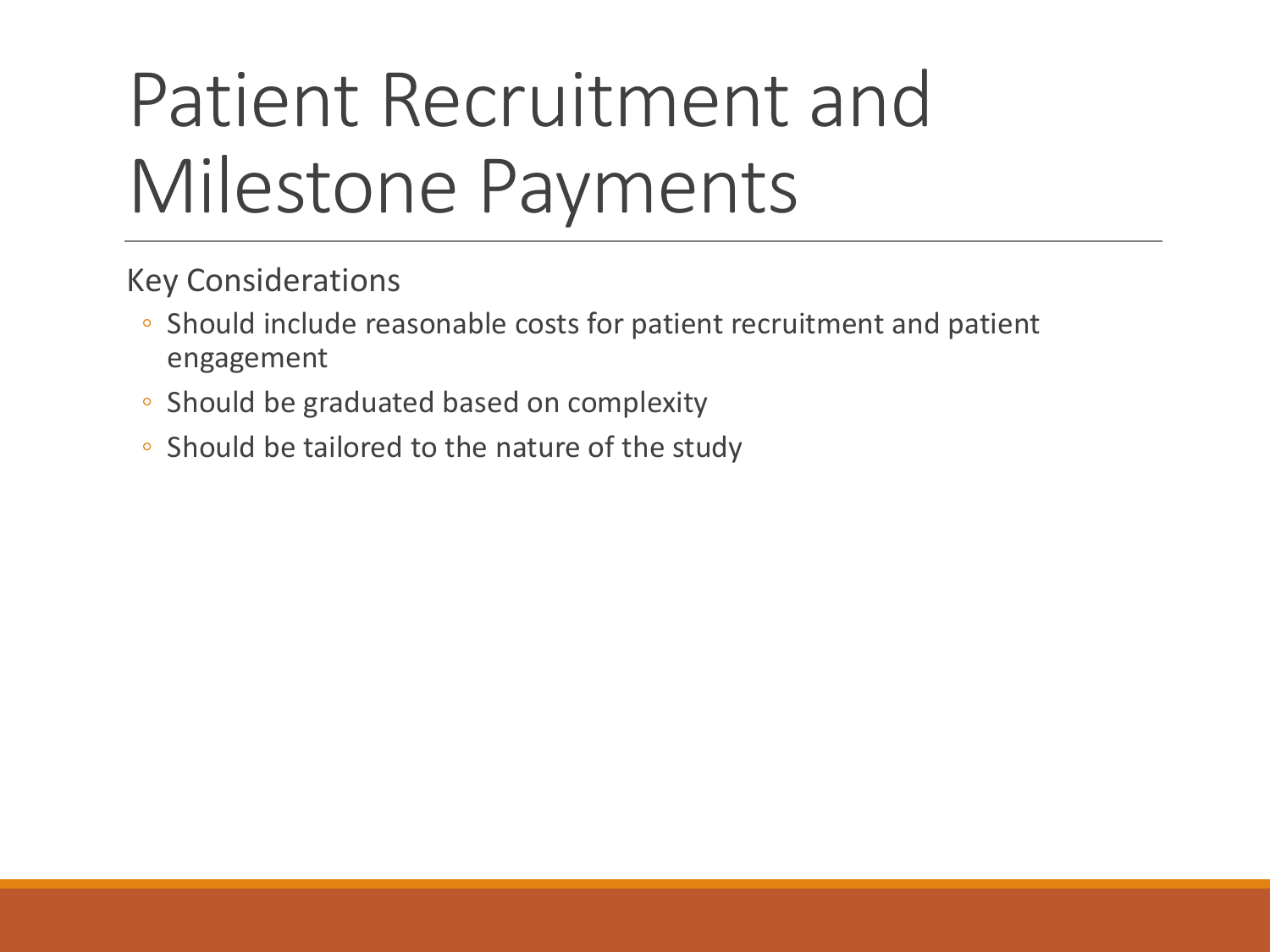# Patient Recruitment and Milestone Payments

- Should include reasonable costs for patient recruitment and patient engagement
- Should be graduated based on complexity
- Should be tailored to the nature of the study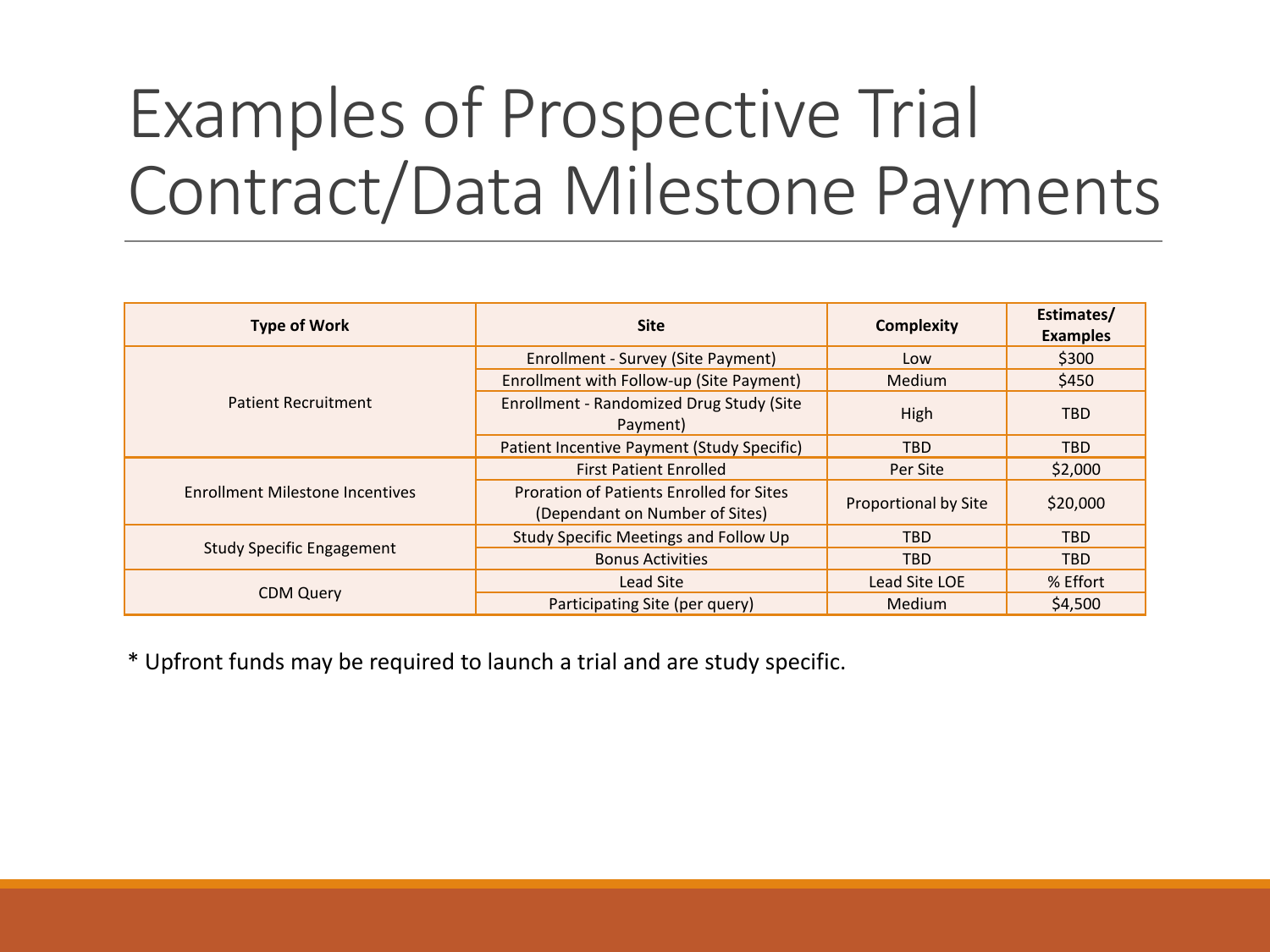## Examples of Prospective Trial Contract/Data Milestone Payments

| <b>Type of Work</b>                    | <b>Site</b>                                                                       | <b>Complexity</b>           | Estimates/<br><b>Examples</b> |
|----------------------------------------|-----------------------------------------------------------------------------------|-----------------------------|-------------------------------|
|                                        | Enrollment - Survey (Site Payment)                                                | Low                         | \$300                         |
|                                        | Enrollment with Follow-up (Site Payment)                                          | <b>Medium</b>               | \$450                         |
| <b>Patient Recruitment</b>             | Enrollment - Randomized Drug Study (Site<br>Payment)                              | High                        | <b>TBD</b>                    |
|                                        | Patient Incentive Payment (Study Specific)                                        | <b>TBD</b>                  | <b>TBD</b>                    |
|                                        | <b>First Patient Enrolled</b>                                                     | Per Site                    | \$2,000                       |
| <b>Enrollment Milestone Incentives</b> | <b>Proration of Patients Enrolled for Sites</b><br>(Dependant on Number of Sites) | <b>Proportional by Site</b> | \$20,000                      |
|                                        | Study Specific Meetings and Follow Up                                             | <b>TBD</b>                  | <b>TBD</b>                    |
| <b>Study Specific Engagement</b>       | <b>Bonus Activities</b>                                                           | <b>TBD</b>                  | <b>TBD</b>                    |
|                                        | <b>Lead Site</b>                                                                  | Lead Site LOE               | % Effort                      |
| <b>CDM Query</b>                       | Participating Site (per query)                                                    | Medium                      | \$4,500                       |

\* Upfront funds may be required to launch a trial and are study specific.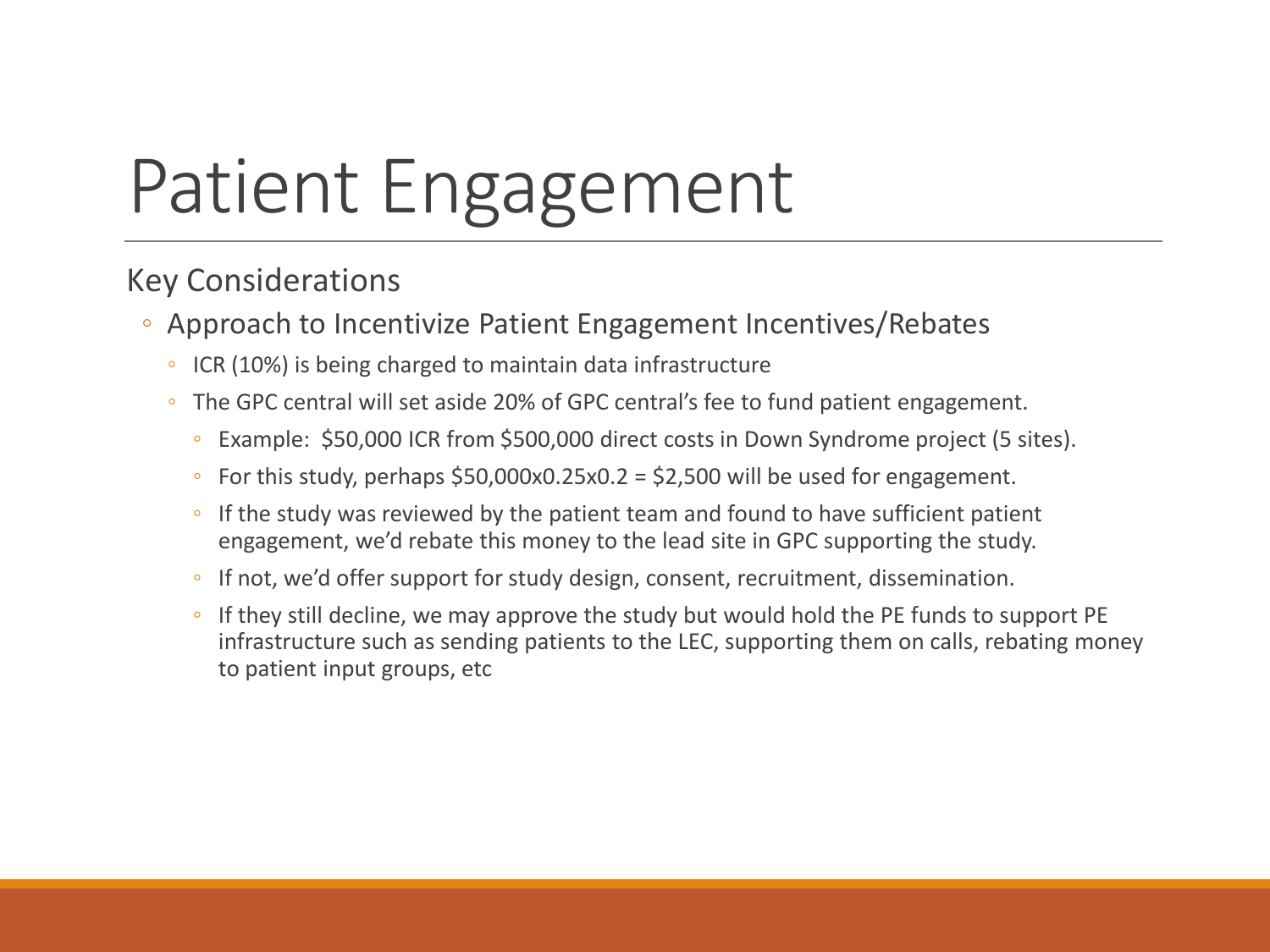# Patient Engagement

- Approach to Incentivize Patient Engagement Incentives/Rebates
	- ICR (10%) is being charged to maintain data infrastructure
	- The GPC central will set aside 20% of GPC central's fee to fund patient engagement.
		- Example: \$50,000 ICR from \$500,000 direct costs in Down Syndrome project (5 sites).
		- For this study, perhaps \$50,000x0.25x0.2 = \$2,500 will be used for engagement.
		- If the study was reviewed by the patient team and found to have sufficient patient engagement, we'd rebate this money to the lead site in GPC supporting the study.
		- If not, we'd offer support for study design, consent, recruitment, dissemination.
		- If they still decline, we may approve the study but would hold the PE funds to support PE infrastructure such as sending patients to the LEC, supporting them on calls, rebating money to patient input groups, etc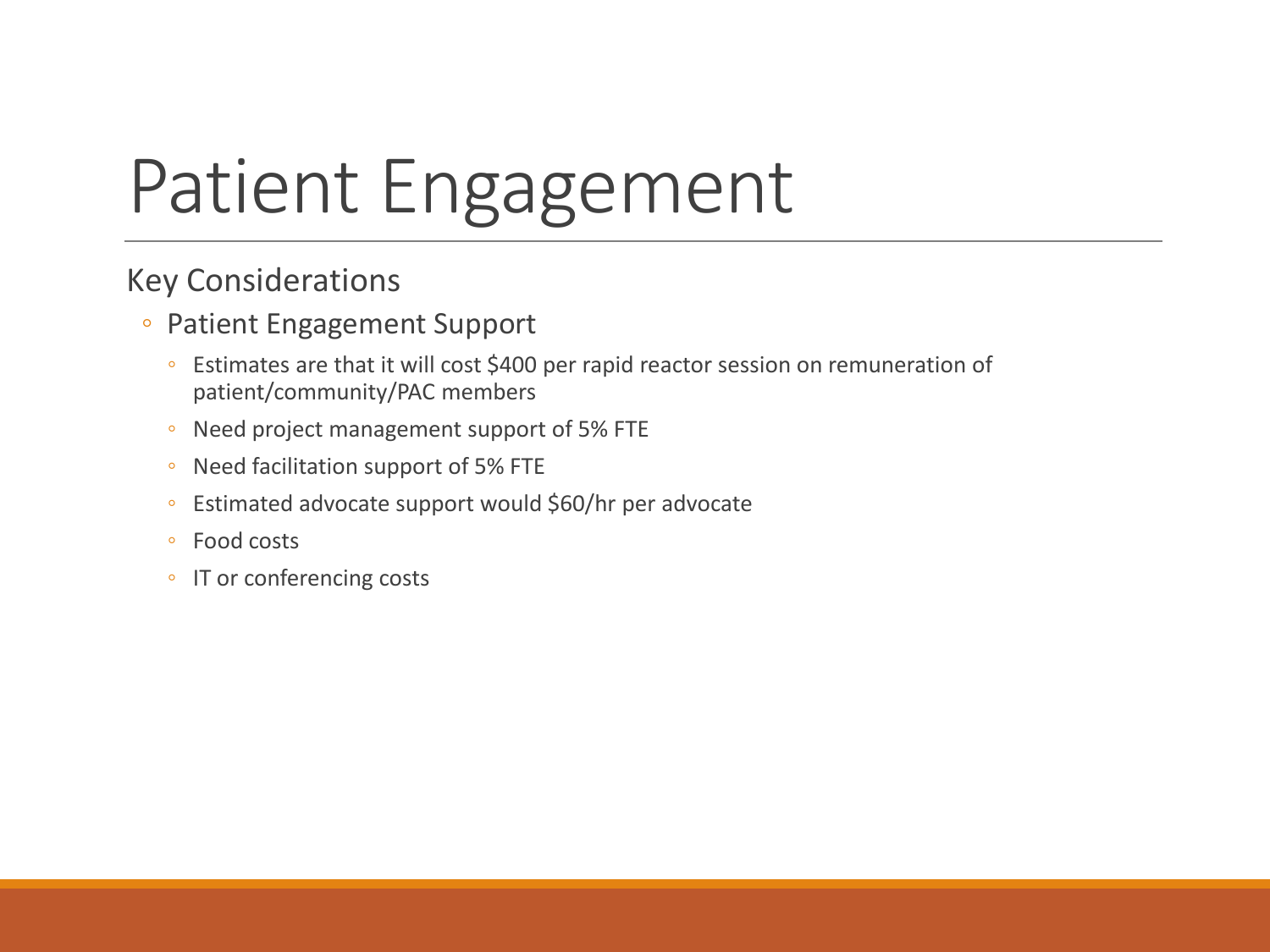# Patient Engagement

- Patient Engagement Support
	- Estimates are that it will cost \$400 per rapid reactor session on remuneration of patient/community/PAC members
	- Need project management support of 5% FTE
	- Need facilitation support of 5% FTE
	- Estimated advocate support would \$60/hr per advocate
	- Food costs
	- IT or conferencing costs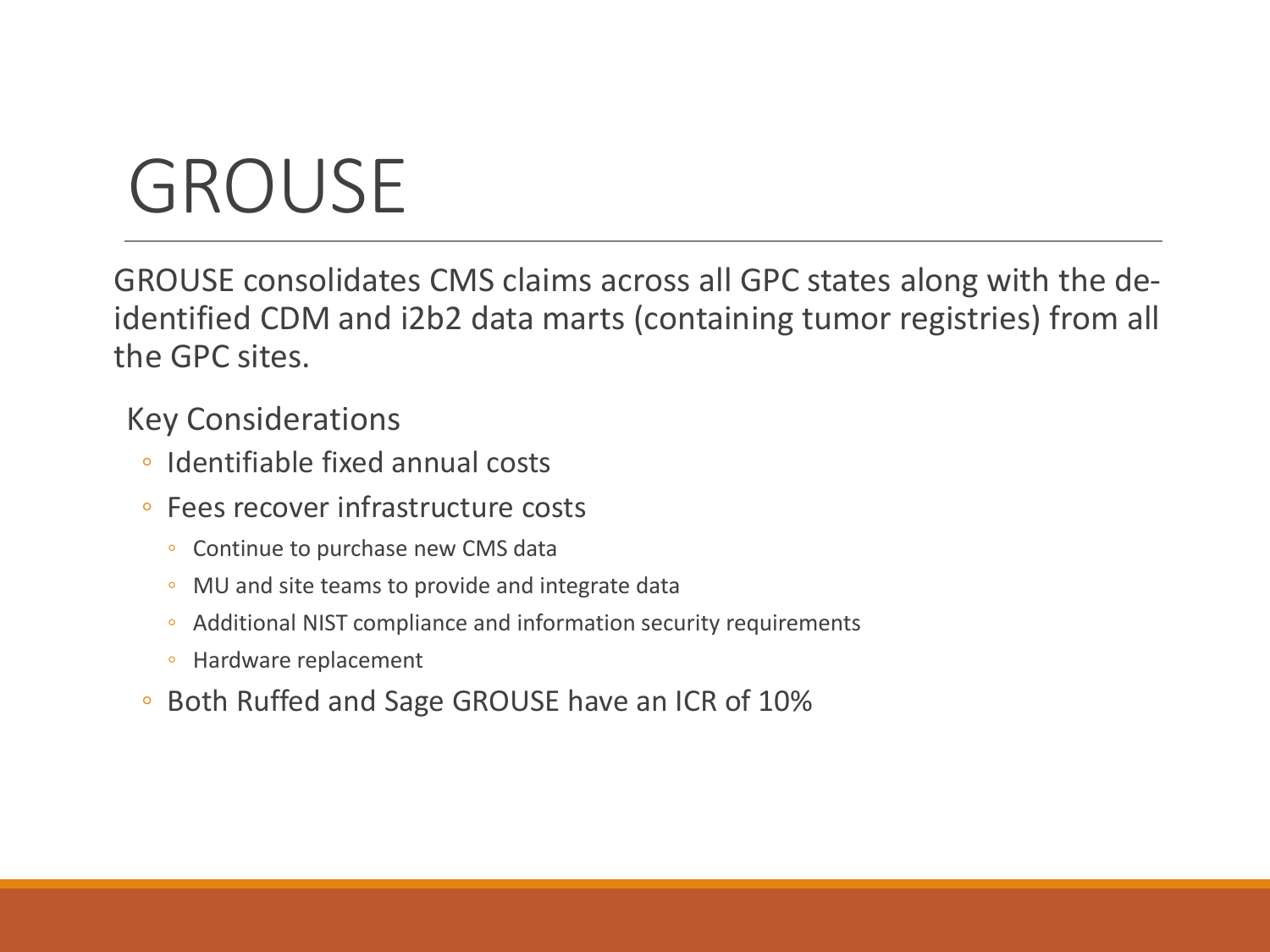# GROUSE

GROUSE consolidates CMS claims across all GPC states along with the deidentified CDM and i2b2 data marts (containing tumor registries) from all the GPC sites.

- Identifiable fixed annual costs
- Fees recover infrastructure costs
	- Continue to purchase new CMS data
	- MU and site teams to provide and integrate data
	- Additional NIST compliance and information security requirements
	- Hardware replacement
- Both Ruffed and Sage GROUSE have an ICR of 10%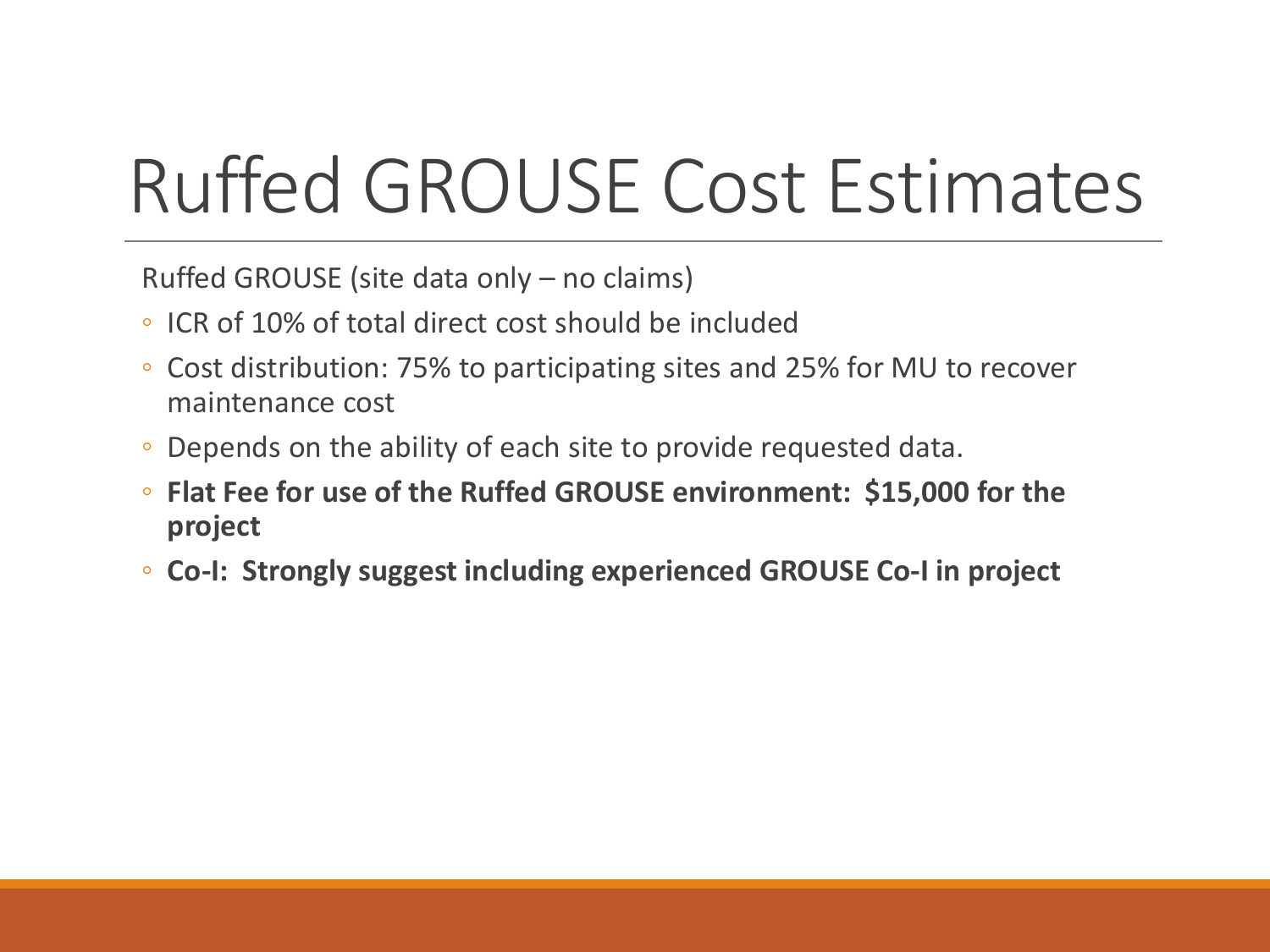# Ruffed GROUSE Cost Estimates

Ruffed GROUSE (site data only – no claims)

- ICR of 10% of total direct cost should be included
- Cost distribution: 75% to participating sites and 25% for MU to recover maintenance cost
- Depends on the ability of each site to provide requested data.
- **Flat Fee for use of the Ruffed GROUSE environment: \$15,000 for the project**
- **Co-I: Strongly suggest including experienced GROUSE Co-I in project**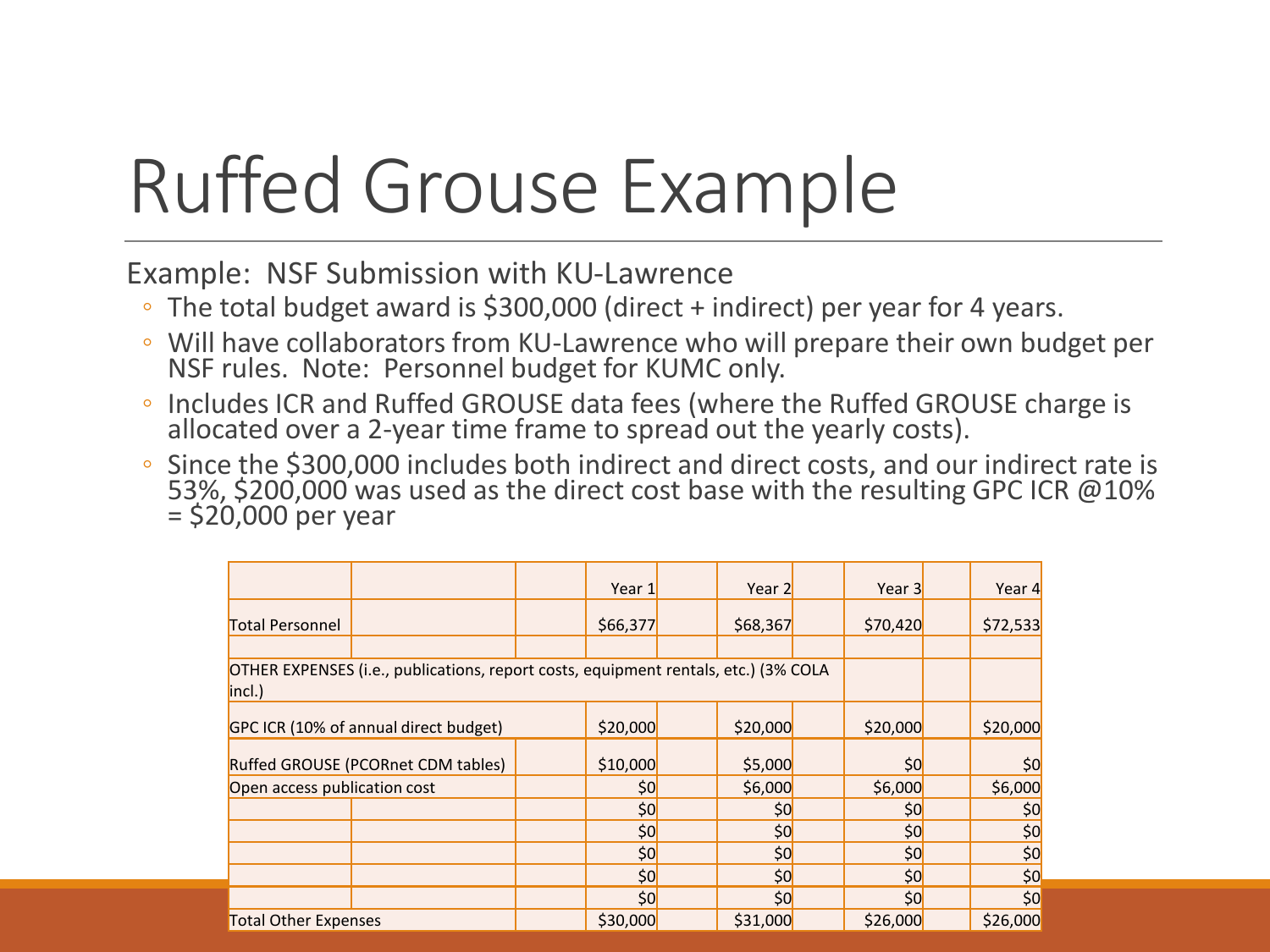# Ruffed Grouse Example

Example: NSF Submission with KU-Lawrence

- The total budget award is \$300,000 (direct + indirect) per year for 4 years.
- Will have collaborators from KU-Lawrence who will prepare their own budget per NSF rules. Note: Personnel budget for KUMC only.
- Includes ICR and Ruffed GROUSE data fees (where the Ruffed GROUSE charge is allocated over a 2-year time frame to spread out the yearly costs).
- Since the \$300,000 includes both indirect and direct costs, and our indirect rate is 53%, \$200,000 was used as the direct cost base with the resulting GPC ICR @10% = \$20,000 per year

|                                                                                               |                                    |  | Year 1   |  | Year 2   |          | Year 3   | Year 4   |
|-----------------------------------------------------------------------------------------------|------------------------------------|--|----------|--|----------|----------|----------|----------|
| <b>Total Personnel</b>                                                                        |                                    |  | \$66,377 |  | \$68,367 |          | \$70,420 | \$72,533 |
|                                                                                               |                                    |  |          |  |          |          |          |          |
| OTHER EXPENSES (i.e., publications, report costs, equipment rentals, etc.) (3% COLA<br>incl.) |                                    |  |          |  |          |          |          |          |
| GPC ICR (10% of annual direct budget)                                                         | \$20,000                           |  | \$20,000 |  | \$20,000 | \$20,000 |          |          |
|                                                                                               | Ruffed GROUSE (PCORnet CDM tables) |  | \$10,000 |  | \$5,000  |          | \$0      | \$0      |
| Open access publication cost                                                                  |                                    |  | \$0]     |  | \$6,000  |          | \$6,000  | \$6,000  |
|                                                                                               |                                    |  | \$0]     |  | \$0      |          | \$0]     | \$0      |
|                                                                                               |                                    |  | \$0]     |  | \$0      |          | \$0]     | \$0      |
|                                                                                               |                                    |  | \$0]     |  | \$0      |          | \$0]     | \$0]     |
|                                                                                               |                                    |  | \$0]     |  | \$0]     |          | \$0]     | \$0      |
|                                                                                               |                                    |  | \$0]     |  | \$0]     |          | \$0      | \$0      |
| <b>Total Other Expenses</b>                                                                   |                                    |  | \$30,000 |  | \$31,000 |          | \$26,000 | \$26,000 |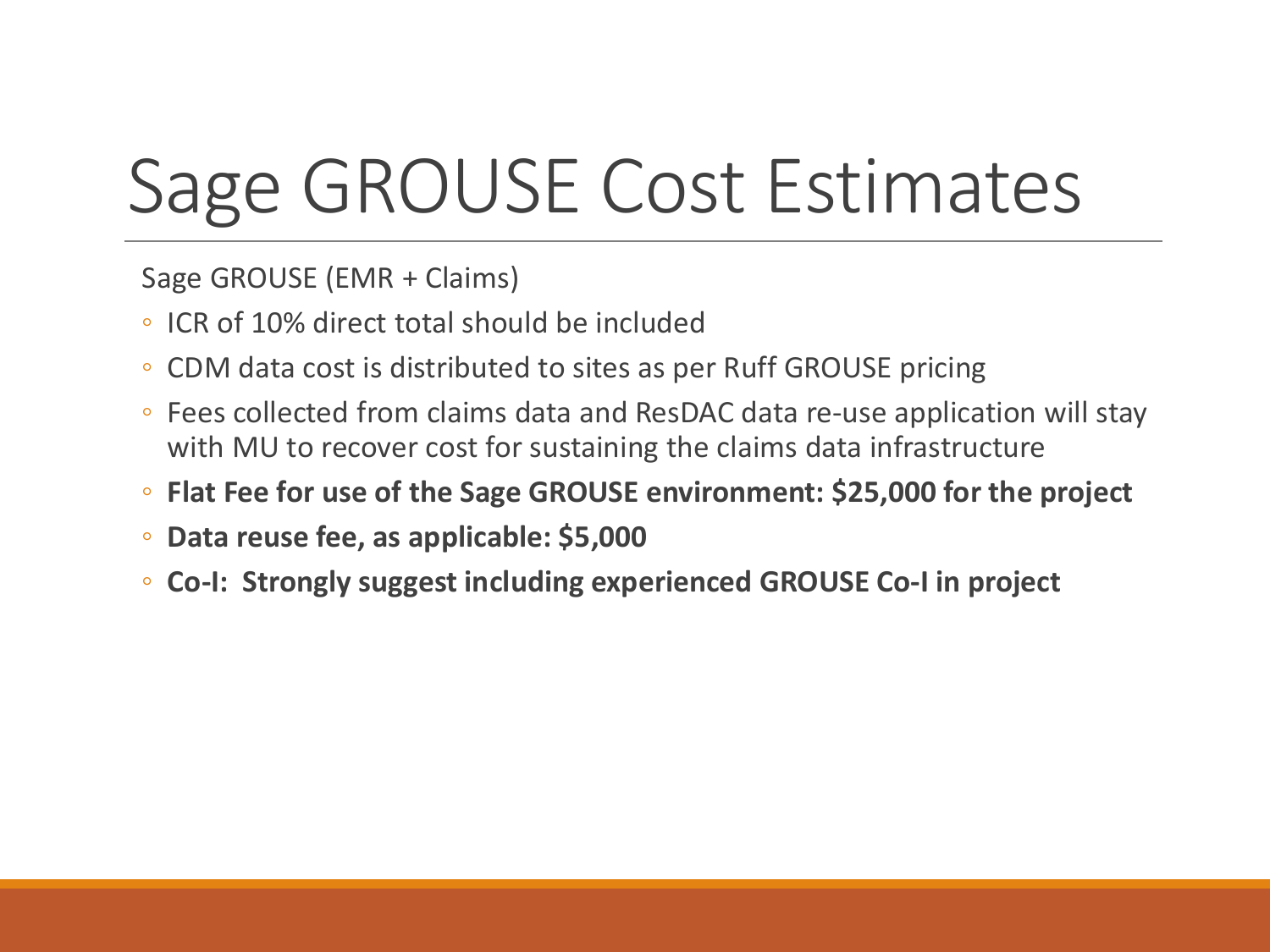# Sage GROUSE Cost Estimates

Sage GROUSE (EMR + Claims)

- ICR of 10% direct total should be included
- CDM data cost is distributed to sites as per Ruff GROUSE pricing
- Fees collected from claims data and ResDAC data re-use application will stay with MU to recover cost for sustaining the claims data infrastructure
- **Flat Fee for use of the Sage GROUSE environment: \$25,000 for the project**
- **Data reuse fee, as applicable: \$5,000**
- **Co-I: Strongly suggest including experienced GROUSE Co-I in project**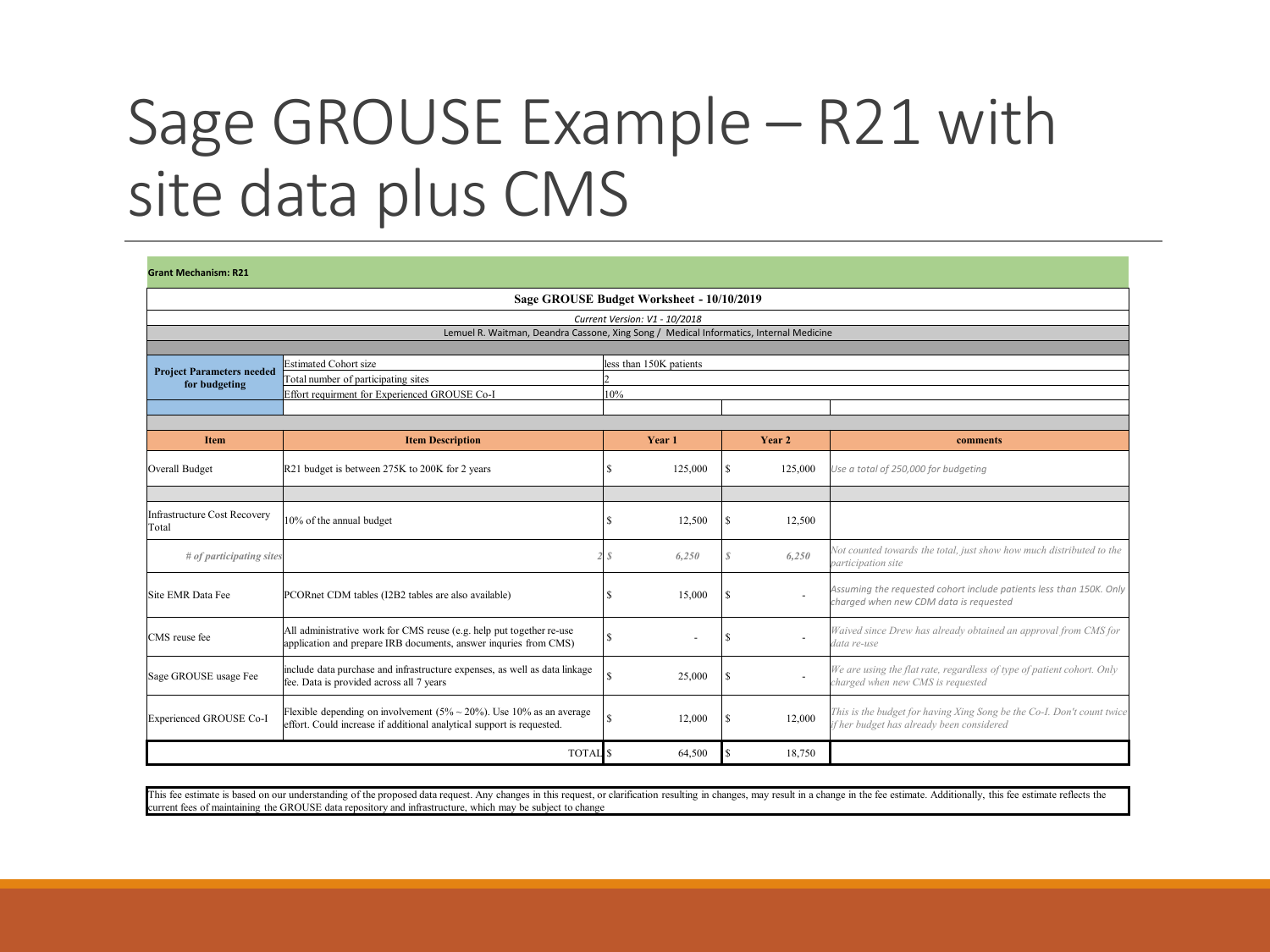### Sage GROUSE Example – R21 with site data plus CMS

| <b>Grant Mechanism: R21</b>                                                            |                                                                                                                                                      |          |                         |   |                          |                                                                                                                     |  |  |  |  |  |
|----------------------------------------------------------------------------------------|------------------------------------------------------------------------------------------------------------------------------------------------------|----------|-------------------------|---|--------------------------|---------------------------------------------------------------------------------------------------------------------|--|--|--|--|--|
|                                                                                        | Sage GROUSE Budget Worksheet - 10/10/2019                                                                                                            |          |                         |   |                          |                                                                                                                     |  |  |  |  |  |
| Current Version: V1 - 10/2018                                                          |                                                                                                                                                      |          |                         |   |                          |                                                                                                                     |  |  |  |  |  |
| Lemuel R. Waitman, Deandra Cassone, Xing Song / Medical Informatics, Internal Medicine |                                                                                                                                                      |          |                         |   |                          |                                                                                                                     |  |  |  |  |  |
|                                                                                        |                                                                                                                                                      |          |                         |   |                          |                                                                                                                     |  |  |  |  |  |
| <b>Project Parameters needed</b>                                                       | <b>Estimated Cohort size</b>                                                                                                                         |          | less than 150K patients |   |                          |                                                                                                                     |  |  |  |  |  |
| for budgeting                                                                          | Total number of participating sites                                                                                                                  |          |                         |   |                          |                                                                                                                     |  |  |  |  |  |
|                                                                                        | Effort requirment for Experienced GROUSE Co-I                                                                                                        | 10%      |                         |   |                          |                                                                                                                     |  |  |  |  |  |
|                                                                                        |                                                                                                                                                      |          |                         |   |                          |                                                                                                                     |  |  |  |  |  |
| <b>Item</b>                                                                            | <b>Item Description</b>                                                                                                                              |          | Year 1                  |   | Year 2                   | comments                                                                                                            |  |  |  |  |  |
| Overall Budget                                                                         | R21 budget is between 275K to 200K for 2 years                                                                                                       |          | 125,000                 | s | 125,000                  | Use a total of 250,000 for budgeting                                                                                |  |  |  |  |  |
|                                                                                        |                                                                                                                                                      |          |                         |   |                          |                                                                                                                     |  |  |  |  |  |
| Infrastructure Cost Recovery<br>Total                                                  | 10% of the annual budget                                                                                                                             | ς        | 12.500                  | S | 12,500                   |                                                                                                                     |  |  |  |  |  |
| # of participating sites                                                               |                                                                                                                                                      |          | 6,250                   | S | 6,250                    | Not counted towards the total, just show how much distributed to the<br>participation site                          |  |  |  |  |  |
| Site EMR Data Fee                                                                      | PCORnet CDM tables (I2B2 tables are also available)                                                                                                  |          | 15,000                  | S |                          | Assuming the requested cohort include patients less than 150K. Only<br>charged when new CDM data is requested       |  |  |  |  |  |
| CMS reuse fee                                                                          | All administrative work for CMS reuse (e.g. help put together re-use<br>application and prepare IRB documents, answer inquries from CMS)             | <b>S</b> |                         | S |                          | Waived since Drew has already obtained an approval from CMS for<br>data re-use                                      |  |  |  |  |  |
| Sage GROUSE usage Fee                                                                  | include data purchase and infrastructure expenses, as well as data linkage<br>fee. Data is provided across all 7 years                               |          | 25,000                  |   | $\overline{\phantom{a}}$ | We are using the flat rate, regardless of type of patient cohort. Only<br>charged when new CMS is requested         |  |  |  |  |  |
| Experienced GROUSE Co-I                                                                | Flexible depending on involvement $(5\% \sim 20\%)$ . Use 10% as an average<br>effort. Could increase if additional analytical support is requested. | S        | 12,000                  |   | 12,000                   | This is the budget for having Xing Song be the Co-I. Don't count twice<br>if her budget has already been considered |  |  |  |  |  |
|                                                                                        | <b>TOTAL</b> S                                                                                                                                       |          | 64,500                  |   | 18,750                   |                                                                                                                     |  |  |  |  |  |

This fee estimate is based on our understanding of the proposed data request. Any changes in this request, or clarification resulting in changes, may result in a change in the fee estimate. Additionally, this fee estimate current fees of maintaining the GROUSE data repository and infrastructure, which may be subject to change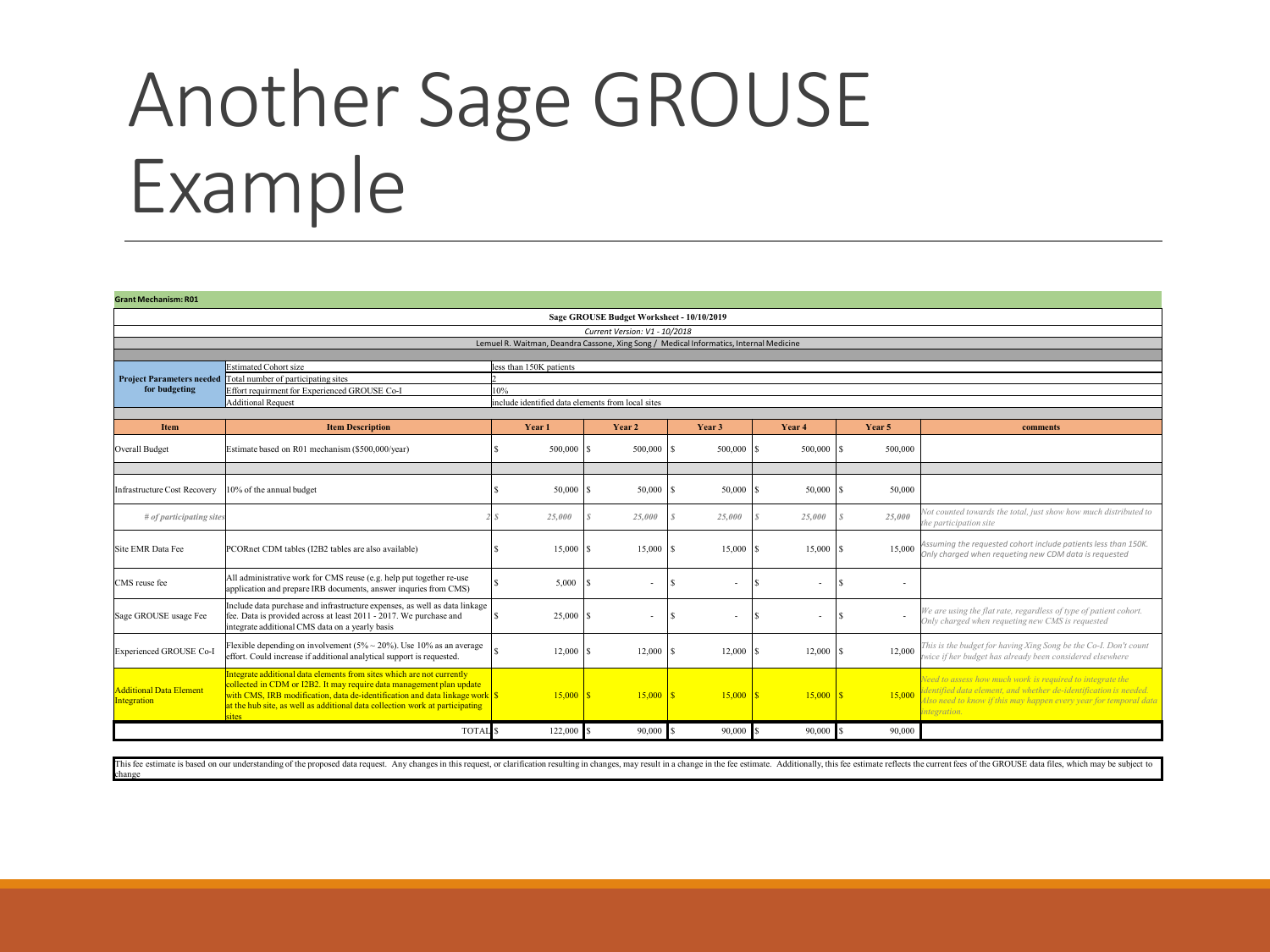## Another Sage GROUSE Example

| <b>Grant Mechanism: R01</b>                   |                                                                                                                                                                                                                                                                                                                      |                                                   |         |                                                                                        |    |         |   |                          |               |                                                                                                                                                                                                                   |  |  |  |  |
|-----------------------------------------------|----------------------------------------------------------------------------------------------------------------------------------------------------------------------------------------------------------------------------------------------------------------------------------------------------------------------|---------------------------------------------------|---------|----------------------------------------------------------------------------------------|----|---------|---|--------------------------|---------------|-------------------------------------------------------------------------------------------------------------------------------------------------------------------------------------------------------------------|--|--|--|--|
|                                               | Sage GROUSE Budget Worksheet - 10/10/2019                                                                                                                                                                                                                                                                            |                                                   |         |                                                                                        |    |         |   |                          |               |                                                                                                                                                                                                                   |  |  |  |  |
|                                               |                                                                                                                                                                                                                                                                                                                      |                                                   |         | Current Version: V1 - 10/2018                                                          |    |         |   |                          |               |                                                                                                                                                                                                                   |  |  |  |  |
|                                               |                                                                                                                                                                                                                                                                                                                      |                                                   |         | Lemuel R. Waitman, Deandra Cassone, Xing Song / Medical Informatics, Internal Medicine |    |         |   |                          |               |                                                                                                                                                                                                                   |  |  |  |  |
|                                               |                                                                                                                                                                                                                                                                                                                      |                                                   |         |                                                                                        |    |         |   |                          |               |                                                                                                                                                                                                                   |  |  |  |  |
|                                               | Estimated Cohort size<br>less than 150K patients                                                                                                                                                                                                                                                                     |                                                   |         |                                                                                        |    |         |   |                          |               |                                                                                                                                                                                                                   |  |  |  |  |
| <b>Project Parameters needed</b>              | Total number of participating sites                                                                                                                                                                                                                                                                                  |                                                   |         |                                                                                        |    |         |   |                          |               |                                                                                                                                                                                                                   |  |  |  |  |
| for budgeting                                 | Effort requirment for Experienced GROUSE Co-I                                                                                                                                                                                                                                                                        | 10%                                               |         |                                                                                        |    |         |   |                          |               |                                                                                                                                                                                                                   |  |  |  |  |
|                                               | <b>Additional Request</b>                                                                                                                                                                                                                                                                                            | include identified data elements from local sites |         |                                                                                        |    |         |   |                          |               |                                                                                                                                                                                                                   |  |  |  |  |
|                                               |                                                                                                                                                                                                                                                                                                                      |                                                   |         |                                                                                        |    |         |   |                          |               |                                                                                                                                                                                                                   |  |  |  |  |
| Item                                          | <b>Item Description</b>                                                                                                                                                                                                                                                                                              |                                                   | Year 1  | Year 2                                                                                 |    | Year 3  |   | Year <sub>4</sub>        | Year 5        | comments                                                                                                                                                                                                          |  |  |  |  |
| <b>Overall Budget</b>                         | Estimate based on R01 mechanism (\$500,000/year)                                                                                                                                                                                                                                                                     |                                                   | 500,000 | 500,000                                                                                |    | 500,000 |   | 500,000                  | 500,000       |                                                                                                                                                                                                                   |  |  |  |  |
|                                               |                                                                                                                                                                                                                                                                                                                      |                                                   |         |                                                                                        |    |         |   |                          |               |                                                                                                                                                                                                                   |  |  |  |  |
| Infrastructure Cost Recovery                  | 10% of the annual budget                                                                                                                                                                                                                                                                                             |                                                   | 50,000  | 50,000                                                                                 |    | 50,000  |   | $50,000$ $\vert S \vert$ | 50,000        |                                                                                                                                                                                                                   |  |  |  |  |
| # of participating sites                      |                                                                                                                                                                                                                                                                                                                      |                                                   | 25,000  | 25,000                                                                                 |    | 25,000  |   | 25,000                   | 25,000        | Not counted towards the total, just show how much distributed to<br>the participation site                                                                                                                        |  |  |  |  |
| Site EMR Data Fee                             | PCORnet CDM tables (I2B2 tables are also available)                                                                                                                                                                                                                                                                  |                                                   | 15,000  | 15,000                                                                                 |    | 15,000  |   | 15,000                   | 15,000        | Assuming the requested cohort include patients less than 150K.<br>Only charaed when reauetina new CDM data is reauested                                                                                           |  |  |  |  |
| CMS reuse fee                                 | All administrative work for CMS reuse (e.g. help put together re-use<br>application and prepare IRB documents, answer inquries from CMS)                                                                                                                                                                             |                                                   | 5,000   | ٠                                                                                      |    | ٠       |   | ٠                        | ٠             |                                                                                                                                                                                                                   |  |  |  |  |
| Sage GROUSE usage Fee                         | Include data purchase and infrastructure expenses, as well as data linkage<br>fee. Data is provided across at least 2011 - 2017. We purchase and<br>integrate additional CMS data on a vearly basis                                                                                                                  |                                                   | 25,000  | ٠                                                                                      | ١s | ٠       | s | ٠                        | l S<br>$\sim$ | We are using the flat rate, regardless of type of patient cohort.<br>Only charged when requeting new CMS is requested                                                                                             |  |  |  |  |
| Experienced GROUSE Co-I                       | Flexible depending on involvement $(5\% \sim 20\%)$ . Use 10% as an average<br>effort. Could increase if additional analytical support is requested.                                                                                                                                                                 |                                                   | 12,000  | 12,000                                                                                 |    | 12,000  |   | 12,000                   | 12,000        | This is the budget for having Xing Song be the Co-I. Don't count<br>twice if her budget has already been considered elsewhere                                                                                     |  |  |  |  |
| <b>Additional Data Element</b><br>Integration | Integrate additional data elements from sites which are not currently<br>collected in CDM or I2B2. It may require data management plan update<br>with CMS, IRB modification, data de-identification and data linkage work S<br>at the hub site, as well as additional data collection work at participating<br>sites |                                                   | 15,000  | 15,000                                                                                 |    | 15,000  |   | $15,000$ S               | 15,000        | Need to assess how much work is required to integrate the<br>dentified data element, and whether de-identification is needed.<br>Also need to know if this may happen every year for temporal data<br>integration |  |  |  |  |
|                                               | <b>TOTAL</b>                                                                                                                                                                                                                                                                                                         |                                                   | 122,000 | 90,000                                                                                 |    | 90,000  |   | 90,000                   | 90,000        |                                                                                                                                                                                                                   |  |  |  |  |

This fee estimate is based on our understanding of the proposed data request. Any changes in this request, or clarification resulting in changes, may result in a change in the fee estimate. Additionally, this fee estimate change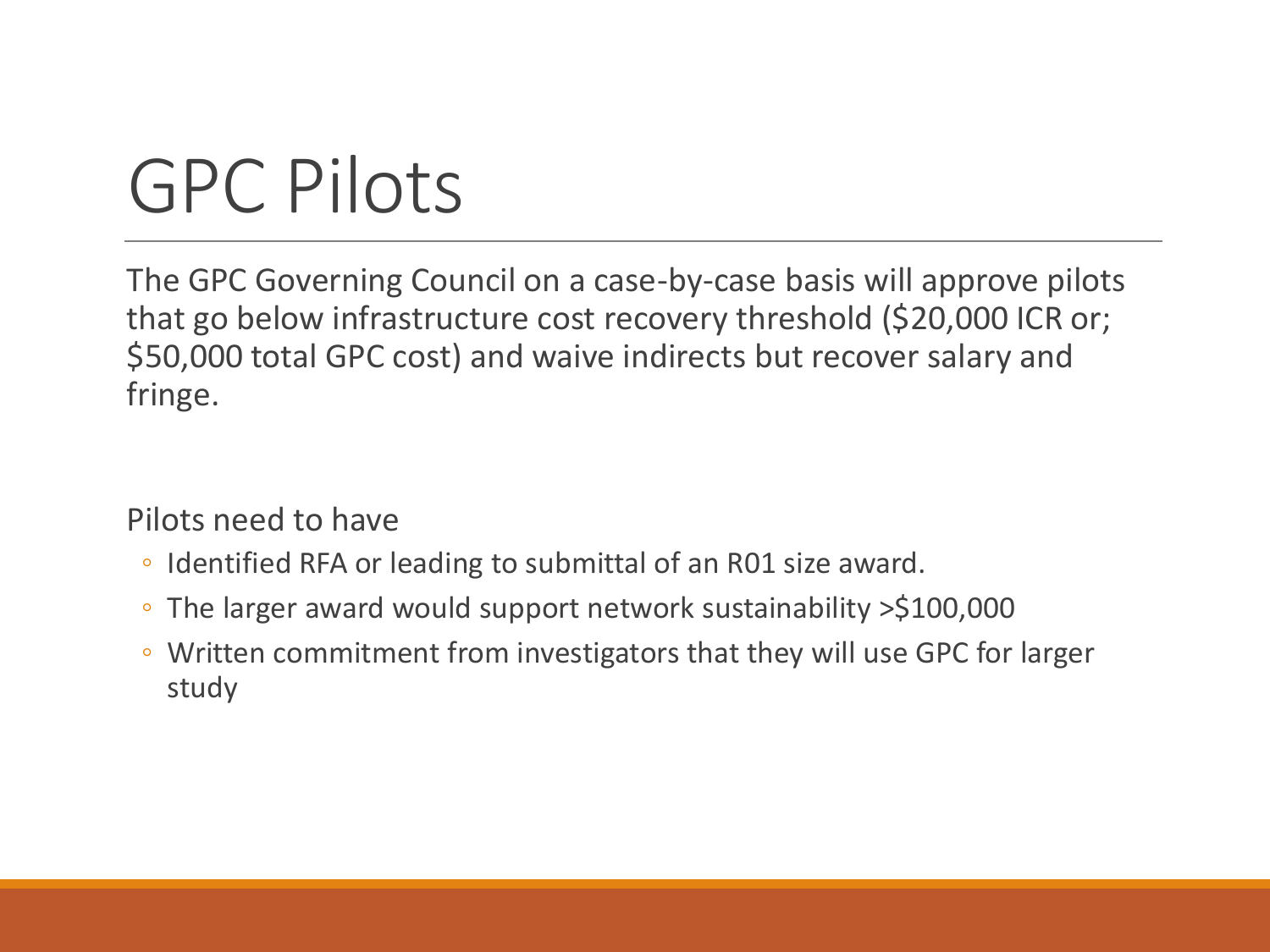# GPC Pilots

The GPC Governing Council on a case-by-case basis will approve pilots that go below infrastructure cost recovery threshold (\$20,000 ICR or; \$50,000 total GPC cost) and waive indirects but recover salary and fringe.

Pilots need to have

- Identified RFA or leading to submittal of an R01 size award.
- The larger award would support network sustainability >\$100,000
- Written commitment from investigators that they will use GPC for larger study